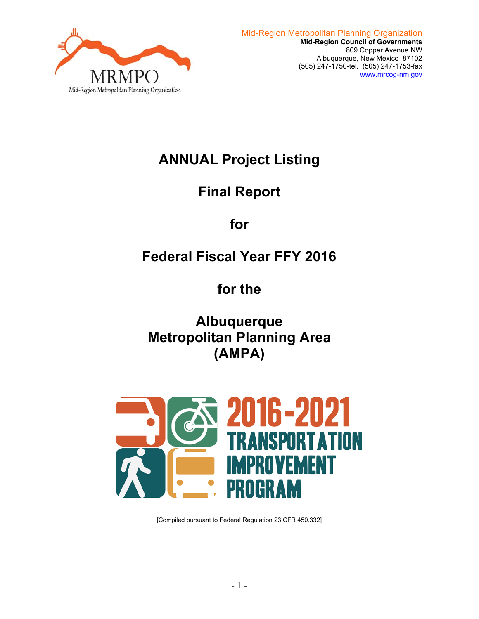

# **ANNUAL Project Listing**

# **Final Report**

# **for**

# **Federal Fiscal Year FFY 2016**

# **for the**

**Albuquerque Metropolitan Planning Area (AMPA)** 



[Compiled pursuant to Federal Regulation 23 CFR 450.332]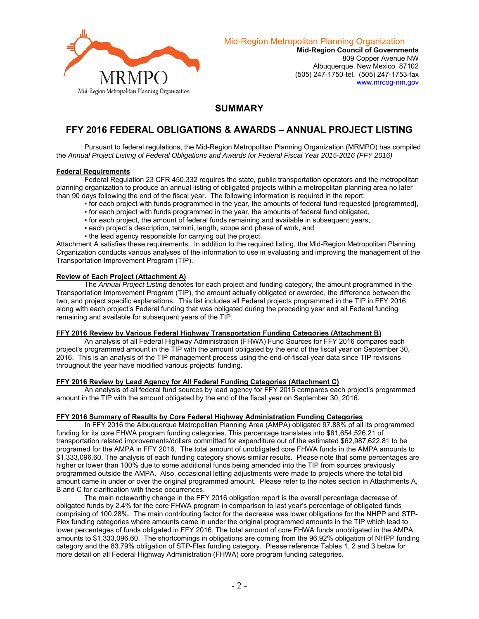

Mid-Region Metropolitan Planning Organization

**Mid-Region Council of Governments**  809 Copper Avenue NW Albuquerque, New Mexico 87102 (505) 247-1750-tel. (505) 247-1753-fax www.mrcog-nm.gov

### **SUMMARY**

## **FFY 2016 FEDERAL OBLIGATIONS & AWARDS – ANNUAL PROJECT LISTING**

 Pursuant to federal regulations, the Mid-Region Metropolitan Planning Organization (MRMPO) has compiled the *Annual Project Listing of Federal Obligations and Awards for Federal Fiscal Year 2015-2016 (FFY 2016)* 

### **Federal Requirements**

 Federal Regulation 23 CFR 450.332 requires the state, public transportation operators and the metropolitan planning organization to produce an annual listing of obligated projects within a metropolitan planning area no later than 90 days following the end of the fiscal year. The following information is required in the report:

- for each project with funds programmed in the year, the amounts of federal fund requested [programmed],
- for each project with funds programmed in the year, the amounts of federal fund obligated,
- for each project, the amount of federal funds remaining and available in subsequent years,
- each project's description, termini, length, scope and phase of work, and
- . the lead agency responsible for carrying out the project.

Attachment A satisfies these requirements. In addition to the required listing, the Mid-Region Metropolitan Planning Organization conducts various analyses of the information to use in evaluating and improving the management of the Transportation Improvement Program (TIP).

#### **Review of Each Project (Attachment A)**

 The *Annual Project Listing* denotes for each project and funding category, the amount programmed in the Transportation Improvement Program (TIP), the amount actually obligated or awarded, the difference between the two, and project specific explanations. This list includes all Federal projects programmed in the TIP in FFY 2016 along with each project's Federal funding that was obligated during the preceding year and all Federal funding remaining and available for subsequent years of the TIP.

#### **FFY 2016 Review by Various Federal Highway Transportation Funding Categories (Attachment B)**

 An analysis of all Federal Highway Administration (FHWA) Fund Sources for FFY 2016 compares each project's programmed amount in the TIP with the amount obligated by the end of the fiscal year on September 30, 2016. This is an analysis of the TIP management process using the end-of-fiscal-year data since TIP revisions throughout the year have modified various projects' funding.

#### **FFY 2016 Review by Lead Agency for All Federal Funding Categories (Attachment C)**

 An analysis of all federal fund sources by lead agency for FFY 2015 compares each project's programmed amount in the TIP with the amount obligated by the end of the fiscal year on September 30, 2016.

#### **FFY 2016 Summary of Results by Core Federal Highway Administration Funding Categories**

 In FFY 2016 the Albuquerque Metropolitan Planning Area (AMPA) obligated 97.88% of all its programmed funding for its core FHWA program funding categories. This percentage translates into \$61,654,526.21 of transportation related improvements/dollars committed for expenditure out of the estimated \$62,987,622.81 to be programed for the AMPA in FFY 2016. The total amount of unobligated core FHWA funds in the AMPA amounts to \$1,333,096.60. The analysis of each funding category shows similar results. Please note that some percentages are higher or lower than 100% due to some additional funds being amended into the TIP from sources previously programmed outside the AMPA. Also, occasional letting adjustments were made to projects where the total bid amount came in under or over the original programmed amount. Please refer to the notes section in Attachments A, B and C for clarification with these occurrences.

 The main noteworthy change in the FFY 2016 obligation report is the overall percentage decrease of obligated funds by 2.4% for the core FHWA program in comparison to last year's percentage of obligated funds comprising of 100.28%. The main contributing factor for the decrease was lower obligations for the NHPP and STP-Flex funding categories where amounts came in under the original programmed amounts in the TIP which lead to lower percentages of funds obligated in FFY 2016. The total amount of core FHWA funds unobligated in the AMPA amounts to \$1,333,096.60. The shortcomings in obligations are coming from the 96.92% obligation of NHPP funding category and the 83.79% obligation of STP-Flex funding category. Please reference Tables 1, 2 and 3 below for more detail on all Federal Highway Administration (FHWA) core program funding categories.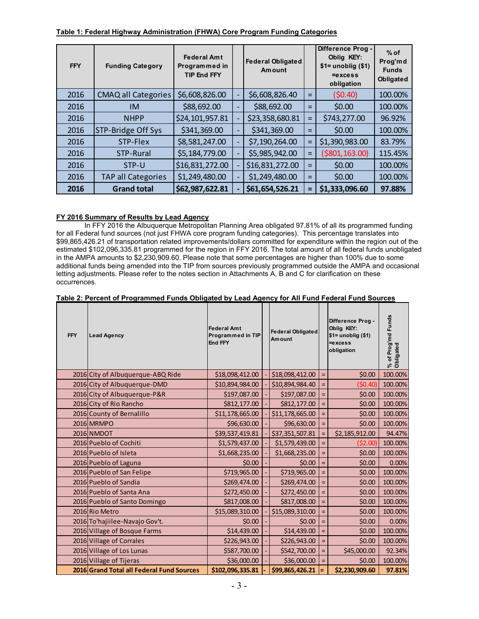| <b>FFY</b> | <b>Funding Category</b>    | <b>Federal Amt</b><br>Programmed in<br><b>TIP End FFY</b> |                          | <b>Federal Obligated</b><br>Amount |     | Difference Prog -<br>Oblig KEY:<br>$$1=$ unoblig $($1)$<br>$=$ excess<br>obligation | $%$ of<br>Prog'md<br><b>Funds</b><br>Obligated |
|------------|----------------------------|-----------------------------------------------------------|--------------------------|------------------------------------|-----|-------------------------------------------------------------------------------------|------------------------------------------------|
| 2016       | <b>CMAQ all Categories</b> | \$6,608,826.00                                            | $\overline{\phantom{a}}$ | \$6,608,826.40                     | $=$ | (50.40)                                                                             | 100.00%                                        |
| 2016       | <b>IM</b>                  | \$88,692.00                                               | $\overline{\phantom{a}}$ | \$88,692.00                        | $=$ | \$0.00                                                                              | 100.00%                                        |
| 2016       | <b>NHPP</b>                | \$24,101,957.81                                           | $\overline{\phantom{a}}$ | \$23,358,680.81                    | $=$ | \$743,277.00                                                                        | 96.92%                                         |
| 2016       | STP-Bridge Off Sys         | \$341,369.00                                              | $\qquad \qquad -$        | \$341,369.00                       | Ξ   | \$0.00                                                                              | 100.00%                                        |
| 2016       | STP-Flex                   | \$8,581,247.00                                            | $\overline{\phantom{0}}$ | \$7,190,264.00                     | $=$ | \$1,390,983.00                                                                      | 83.79%                                         |
| 2016       | STP-Rural                  | \$5,184,779.00                                            |                          | \$5,985,942.00                     | $=$ | ( \$801, 163.00)                                                                    | 115.45%                                        |
| 2016       | STP-U                      | \$16,831,272.00                                           |                          | \$16,831,272.00                    | $=$ | \$0.00                                                                              | 100.00%                                        |
| 2016       | <b>TAP all Categories</b>  | \$1,249,480.00                                            |                          | \$1,249,480.00                     | $=$ | \$0.00                                                                              | 100.00%                                        |
| 2016       | <b>Grand total</b>         | \$62,987,622.81                                           |                          | \$61,654,526.21                    | $=$ | \$1,333,096.60                                                                      | 97.88%                                         |

### **Table 1: Federal Highway Administration (FHWA) Core Program Funding Categories**

### **FY 2016 Summary of Results by Lead Agency**

 In FFY 2016 the Albuquerque Metropolitan Planning Area obligated 97.81% of all its programmed funding for all Federal fund sources (not just FHWA core program funding categories). This percentage translates into \$99,865,426.21 of transportation related improvements/dollars committed for expenditure within the region out of the estimated \$102,096,335.81 programmed for the region in FFY 2016. The total amount of all federal funds unobligated in the AMPA amounts to \$2,230,909.60. Please note that some percentages are higher than 100% due to some additional funds being amended into the TIP from sources previously programmed outside the AMPA and occasional letting adjustments. Please refer to the notes section in Attachments A, B and C for clarification on these occurrences.

### **Table 2: Percent of Programmed Funds Obligated by Lead Agency for All Fund Federal Fund Sources**

| <b>FFY</b> | <b>Lead Agency</b>                        | <b>Federal Amt</b><br>Programmed in TIP<br>End FFY | <b>Federal Obligated</b><br>Amount |     | Difference Prog -<br>Oblia KEY:<br>$$1=$ unoblig $($1)$<br>$=$ excess<br>obligation | % of Prog'md Funds<br>Obligated |
|------------|-------------------------------------------|----------------------------------------------------|------------------------------------|-----|-------------------------------------------------------------------------------------|---------------------------------|
|            | 2016 City of Albuquerque-ABQ Ride         | \$18,098,412.00                                    | \$18,098,412.00                    | $=$ | \$0.00                                                                              | 100.00%                         |
|            | 2016 City of Albuquerque-DMD              | \$10,894,984.00                                    | \$10,894,984.40                    |     | (50.40)                                                                             | 100.00%                         |
|            | 2016 City of Albuquerque-P&R              | \$197,087.00                                       | \$197,087.00                       | $=$ | \$0.00                                                                              | 100.00%                         |
|            | 2016 City of Rio Rancho                   | \$812,177.00                                       | \$812,177.00                       | $=$ | \$0.00                                                                              | 100.00%                         |
|            | 2016 County of Bernalillo                 | \$11,178,665.00                                    | \$11,178,665.00                    | $=$ | \$0.00                                                                              | 100.00%                         |
|            | 2016 MRMPO                                | \$96,630.00                                        | \$96,630.00                        | $=$ | \$0.00                                                                              | 100.00%                         |
|            | 2016 NMDOT                                | \$39,537,419.81                                    | \$37,351,507.81                    |     | \$2,185,912.00                                                                      | 94.47%                          |
|            | 2016 Pueblo of Cochiti                    | \$1,579,437.00                                     | \$1,579,439.00                     | $=$ | ( \$2.00)                                                                           | 100.00%                         |
|            | 2016 Pueblo of Isleta                     | \$1,668,235.00                                     | \$1,668,235.00                     |     | \$0.00                                                                              | 100.00%                         |
|            | 2016 Pueblo of Laguna                     | \$0.00                                             | \$0.00                             | $=$ | \$0.00                                                                              | 0.00%                           |
|            | 2016 Pueblo of San Felipe                 | \$719,965.00                                       | \$719,965.00                       | $=$ | \$0.00                                                                              | 100.00%                         |
|            | 2016 Pueblo of Sandia                     | \$269,474.00                                       | \$269,474.00                       |     | \$0.00                                                                              | 100.00%                         |
|            | 2016 Pueblo of Santa Ana                  | \$272,450.00                                       | \$272,450.00                       | $=$ | \$0.00                                                                              | 100.00%                         |
|            | 2016 Pueblo of Santo Domingo              | \$817,008.00                                       | \$817,008.00                       |     | \$0.00                                                                              | 100.00%                         |
|            | 2016 Rio Metro                            | \$15,089,310.00                                    | \$15,089,310.00                    | $=$ | \$0.00                                                                              | 100.00%                         |
|            | 2016 To'hajiilee-Navajo Gov't.            | \$0.00                                             | \$0.00                             | $=$ | \$0.00                                                                              | 0.00%                           |
|            | 2016 Village of Bosque Farms              | \$14,439.00                                        | \$14,439.00                        | $=$ | \$0.00                                                                              | 100.00%                         |
|            | 2016 Village of Corrales                  | \$226,943.00                                       | \$226,943.00                       | $=$ | \$0.00                                                                              | 100.00%                         |
|            | 2016 Village of Los Lunas                 | \$587,700.00                                       | \$542,700.00                       | $=$ | \$45,000.00                                                                         | 92.34%                          |
|            | 2016 Village of Tijeras                   | \$36,000.00                                        | \$36,000.00                        |     | \$0.00                                                                              | 100.00%                         |
|            | 2016 Grand Total all Federal Fund Sources | \$102,096,335.81                                   | \$99,865,426.21                    |     | \$2,230,909.60                                                                      | 97.81%                          |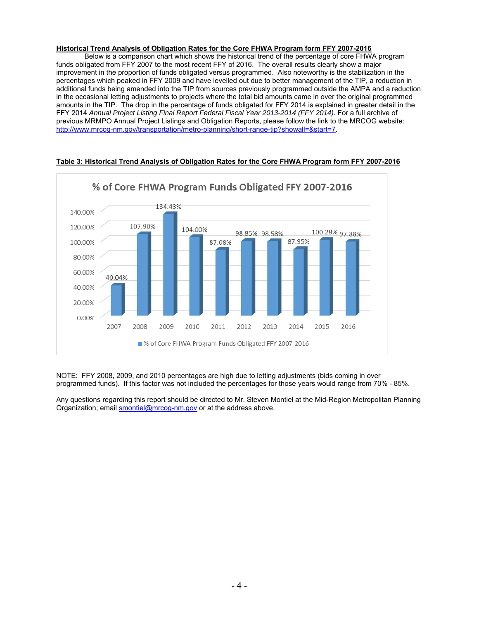#### **Historical Trend Analysis of Obligation Rates for the Core FHWA Program form FFY 2007-2016**

 Below is a comparison chart which shows the historical trend of the percentage of core FHWA program funds obligated from FFY 2007 to the most recent FFY of 2016. The overall results clearly show a major improvement in the proportion of funds obligated versus programmed. Also noteworthy is the stabilization in the percentages which peaked in FFY 2009 and have levelled out due to better management of the TIP, a reduction in additional funds being amended into the TIP from sources previously programmed outside the AMPA and a reduction in the occasional letting adjustments to projects where the total bid amounts came in over the original programmed amounts in the TIP. The drop in the percentage of funds obligated for FFY 2014 is explained in greater detail in the FFY 2014 *Annual Project Listing Final Report Federal Fiscal Year 2013-2014 (FFY 2014)*. For a full archive of previous MRMPO Annual Project Listings and Obligation Reports, please follow the link to the MRCOG website: http://www.mrcog-nm.gov/transportation/metro-planning/short-range-tip?showall=&start=7.



### **Table 3: Historical Trend Analysis of Obligation Rates for the Core FHWA Program form FFY 2007-2016**

NOTE: FFY 2008, 2009, and 2010 percentages are high due to letting adjustments (bids coming in over programmed funds). If this factor was not included the percentages for those years would range from 70% - 85%.

Any questions regarding this report should be directed to Mr. Steven Montiel at the Mid-Region Metropolitan Planning Organization; email smontiel@mrcog-nm.gov or at the address above.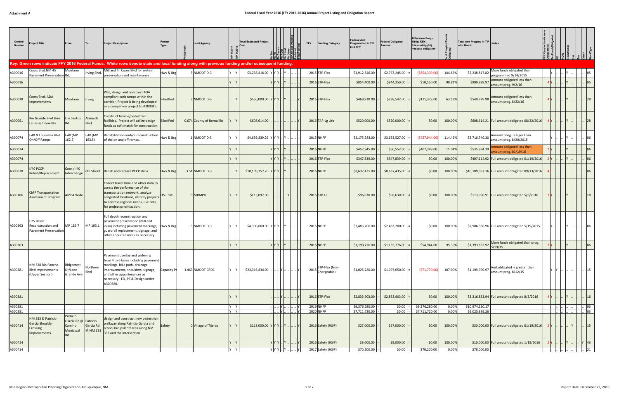| Control<br>Number  | roject Title                                                     | From                                                 |                                   | <b>Project Description</b>                                                                                                                                                                                                | Project<br>Type | <b>Lead Agency</b>         |            | <b>Total Estimated Project</b><br>Cost                       |                                                                              |                                                                       | <b>Funding Category</b><br><b>FFY</b> | Federal Amt<br>Programmed in TIP<br><b>End FFY</b> | <b>Federal Obligated</b><br><b>\mount</b> | Difference Prog -<br>Oblig KEY:<br>$$1=$ unoblig $$1)$<br>=excess obligation |                | Total Amt Prog'md in TIP Notes<br>with Match |                                                       |         |              |          |
|--------------------|------------------------------------------------------------------|------------------------------------------------------|-----------------------------------|---------------------------------------------------------------------------------------------------------------------------------------------------------------------------------------------------------------------------|-----------------|----------------------------|------------|--------------------------------------------------------------|------------------------------------------------------------------------------|-----------------------------------------------------------------------|---------------------------------------|----------------------------------------------------|-------------------------------------------|------------------------------------------------------------------------------|----------------|----------------------------------------------|-------------------------------------------------------|---------|--------------|----------|
|                    |                                                                  |                                                      |                                   | Key: Green rows indicate FFY 2016 Federal Funds. White rows denote state and local funding along with previous funding and/or subsequent funding                                                                          |                 |                            |            |                                                              |                                                                              |                                                                       |                                       |                                                    |                                           |                                                                              |                |                                              |                                                       |         |              |          |
| A300016            | Coors Blvd:NM 45<br>Pavement Preservation Rd.                    | Montano                                              | Irving Blvd.                      | Mill and fill Coors Blvd for system<br>preservation and maintenance                                                                                                                                                       | Hwy & Brg       | 3 NMDOT D-3                |            | \$3,238,818.00                                               |                                                                              |                                                                       | 2015 STP-Flex                         | \$1,912,846.00                                     | \$2,767,245.00                            | (\$854,399.00                                                                | 144.67%        | \$2,238,817.82                               | More funds obligated than<br>programmed 9/14/2015     |         |              |          |
| A300016            |                                                                  |                                                      |                                   |                                                                                                                                                                                                                           |                 |                            |            |                                                              | Y IY I'                                                                      |                                                                       | $2016$ STP-Flex                       | \$854,400.00                                       | \$844,250.00                              | \$10,150.00                                                                  | 98.81%         | \$999,999.97                                 | Amount obligated less than<br>amount prog. 9/2/16     |         |              |          |
| A300018            | Coors Blvd. ADA<br><b>Improvements</b>                           | Montano                                              | <b>Irving</b>                     | Plan, design and construct ADA<br>compliant curb ramps within the<br>corridor. Project is being developed<br>as a companion project to A300016.                                                                           | Bike/Ped        | 3 NMDOT D-3                |            | \$550,000.00 Y Y Y Y  Y                                      |                                                                              |                                                                       | 2016 STP-Flex                         | \$469,920.00                                       | \$298,547.00                              | \$171,373.00                                                                 | 63.53%         | \$549,999.98                                 | Amount obligated less than<br>amount prog. 8/22/16    |         |              |          |
| A300051            | Rio Grande Blvd Bike<br>Lanes & Sidewalks                        | Los Santos<br>Rd.                                    | Alameda<br>Blvd                   | Construct bicycle/pedestrain<br>facilities. Project will utilize design<br>funds as soft match for construction.                                                                                                          | Bike/Ped        | 0.674 County of Bernalillo |            | \$608,614.00                                                 |                                                                              |                                                                       | 2016 TAP-Lg Urb                       | \$520,000.00                                       | \$520,000.00                              | \$0.00                                                                       | 100.00%        |                                              | \$608,614.21   Full amount obligated 08/22/2016       |         |              |          |
| A300074            | -40 & Louisiana Blyd<br>On/Off Ramps                             | I-40 (MP<br>162.5)                                   | -40 (MP<br>163.5)                 | Rehabilitation and/or reconstruction<br>of the on and off ramps.                                                                                                                                                          | Hwy & Brg       | 1 NMDOT D-3                |            | \$4,659,839.26 YYY                                           |                                                                              |                                                                       | 2015 NHPP                             | \$3,175,583.00                                     | \$3,633,527.00                            | (\$457,944.00                                                                | 114.42%        | \$3,716,740.30                               | Amount oblig. is higer than<br>amount prog. 8/20/2015 |         |              |          |
| A300074            |                                                                  |                                                      |                                   |                                                                                                                                                                                                                           |                 |                            |            |                                                              |                                                                              |                                                                       | <b>2016 NHPP</b>                      | \$457,945.00                                       | \$50,557.00                               | \$407,388.00                                                                 | 11.04%         | \$535,984.30                                 | Amount obligated less than<br>amount prog. 01/19/16   |         |              |          |
| A300074            |                                                                  |                                                      |                                   |                                                                                                                                                                                                                           |                 |                            |            |                                                              |                                                                              |                                                                       | 2016 STP-Flex                         | \$347,839.00                                       | \$347,839.00                              | \$0.00                                                                       | 100.00%        |                                              | \$407,114.92 Full amount obligated 01/19/2016         |         |              |          |
| A300078            | /40 PCCP<br>Rehab/Replacement                                    | Coor /I-40<br>Interchange                            |                                   | 6th Street   Rehab and replace PCCP slabs                                                                                                                                                                                 | Hwy & Brg       | 3.51 NMDOT D-3             |            | \$10,109,357.20                                              |                                                                              |                                                                       | <b>2016 NHPP</b>                      | \$8,637,435.00                                     | \$8,637,435.00                            | \$0.00                                                                       | 100.00%        |                                              | \$10,109,357.16   Full amount obligated 09/13/2016    |         |              |          |
| A300186            | <b>CMP Transportation</b><br><b>Assessment Program</b>           | <b>AMPA Wide</b>                                     |                                   | Collect travel time and other data to<br>assess the performance of the<br>transportation network, analyze<br>congested locations, identify projects<br>to address regional needs, use data<br>for project prioritization. | <b>ITS-TSM</b>  | 0 MRMPO                    |            | \$113,097.00                                                 | $\left  \ldots \right  \ldots \left  Y \right  \ldots \left  \ldots \right $ |                                                                       | 2016 STP-U                            | \$96,630.00                                        | \$96,630.00                               | \$0.00                                                                       | 100.00%        |                                              | \$113,096.91 Full amount obligated 5/6/2016           | 3 I Y I |              |          |
| A300363            | I-25 Belen<br>Reconstruction and<br>Pavement Preservation        | MP 189.7                                             | MP 193.1                          | Full depth reconstruction and<br>pavement preservation (mill and<br>inlay) including pavement markings, Hwy & Brg<br>guardrail replacement, signage, and<br>other appurtenances as necessary.                             |                 | 3 NMDOT D-3                |            | $$4,300,000.00$ Y Y Y  Y    Y      .                         |                                                                              |                                                                       | 2015 NHPP                             | \$2,483,200.00                                     | \$2,483,200.00                            | \$0.00                                                                       | 100.00%        |                                              | \$2,906,366.96 Full amount obligated 5/19/2015        |         |              |          |
| A300363            |                                                                  |                                                      |                                   |                                                                                                                                                                                                                           |                 |                            |            |                                                              |                                                                              |                                                                       | 2016 NHPP                             | \$1,190,720.00                                     | \$1,135,776.00                            | \$54,944.00                                                                  | 95.39%         | \$1,393,632.92                               | More funds obligated than prog.<br>5/19/15            |         |              |          |
| A300381            | NM 528 Rio Rancho<br><b>Blvd Improvements</b><br>(Upper Section) | Ridgecrest<br>Dr/Leon<br>Grande Ave                  | Northern<br>Blvd                  | Pavement overlay and widening<br>from 4 to 6 lanes including pavement<br>markings, bike path, drainage<br>improvements, shoulders, signage,<br>and other appurtenances as<br>necessary. ED, PE & Design under<br>A300380. | Capacity Pr     | 1.463 NMDOT CRDC           |            | \$23,316,834.00                                              |                                                                              |                                                                       | STP-Flex (Non-<br>$2015$ Chargeable)  | \$1,025,280.00                                     | \$1,097,050.00                            | (571, 770.00)                                                                | 107.00%        | \$1,199,999.97                               | Amt.obligated is greater than<br>amount prog. 8/12/15 |         |              | 15       |
| A300381            |                                                                  |                                                      |                                   |                                                                                                                                                                                                                           |                 |                            |            |                                                              |                                                                              |                                                                       | 2016 STP-Flex                         | \$2,833,903.00                                     | \$2,833,903.00                            | \$0.00                                                                       | 100.00%        |                                              | \$3,316,833.94 Full amount obligated 8/3/2016         |         |              |          |
| A300381<br>A300381 |                                                                  |                                                      |                                   |                                                                                                                                                                                                                           |                 |                            | Y Y<br>Y Y |                                                              |                                                                              | Y          Y  <br>$\left  \ldots \right $ $\left  \mathbf{Y} \right $ | 2019 NHPP<br>2020 NHPP                | \$9,376,280.00<br>\$7,711,720.00                   | \$0.00<br>\$0.00                          | \$9,376,280.00<br>\$7,711,720.00                                             | 0.00%<br>0.00% | \$10,974,110.17<br>\$9,025,889.26            |                                                       |         |              | 03<br>03 |
| A300414            | NM 333 & Patricio<br>Garcia Shoulder<br>Crossing<br>Improvements | Patricio<br>Garcia Rd @<br>Camino<br>Municipal<br>Rd | Patricio<br>Garcia Rd<br>@ NM 333 | design and construct new pedestrian<br>walkway along Patricio Garcia and<br>school bus pull off area along NM<br>333 and the intersection.                                                                                | Safety          | 0 Village of Tijeras       |            | $$118,000.00$ $Y$ $Y$ $Y$ $\ldots$ $Y$ $\ldots$ $\ldots$ $Y$ |                                                                              |                                                                       | 2016 Safety (HSIP)                    | \$27,000.00                                        | \$27,000.00                               | \$0.00                                                                       | 100.00%        |                                              | \$30,000.00 Full amount obligated 01/19/2016          |         | 2 Y J. J. J. | 15       |
| A300414            |                                                                  |                                                      |                                   |                                                                                                                                                                                                                           |                 |                            |            |                                                              |                                                                              |                                                                       | 2016 Safety (HSIP)                    | \$9,000.00                                         | \$9,000.00                                | \$0.00                                                                       | 100.00%        |                                              | \$10,000.00 Full amount obligated 1/19/2016           |         |              | $Y$ 43   |
| A300414            |                                                                  |                                                      |                                   |                                                                                                                                                                                                                           |                 |                            | Y Y        |                                                              |                                                                              |                                                                       | 2017 Safety (HSIP)                    | \$70,200.00                                        | \$0.00                                    | \$70,200.00                                                                  | 0.00%          | \$78,000.00                                  |                                                       |         |              | 21       |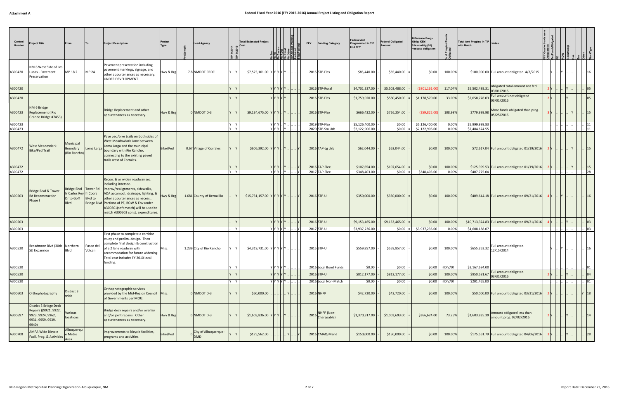| Control<br>Number  | <b>Project Title</b>                                                                               | From                                                                   |                     | <b>Project Description</b>                                                                                                                                                                                                                                                                      | Project<br>Type | <b>Lead Agency</b>                 |            | <b>Total Estimated Project</b><br>Cost | IK A - 서울 볼 볼 볼 볼 |            | <b>FFY</b> | unding Category                  | Federal Amt<br>Programmed in TIP<br>End FFY | <b>Federal Obligated</b><br>Amount | Difference Prog -<br>Oblig KEY:<br>$$1=$ unoblig $$1)$<br>=excess obligation |                 | Total Amt Prog'md in TIP Notes<br>with Match |                                                       |       |     |                          |              |
|--------------------|----------------------------------------------------------------------------------------------------|------------------------------------------------------------------------|---------------------|-------------------------------------------------------------------------------------------------------------------------------------------------------------------------------------------------------------------------------------------------------------------------------------------------|-----------------|------------------------------------|------------|----------------------------------------|-------------------|------------|------------|----------------------------------|---------------------------------------------|------------------------------------|------------------------------------------------------------------------------|-----------------|----------------------------------------------|-------------------------------------------------------|-------|-----|--------------------------|--------------|
| A300420            | NM 6 West Side of Los<br>Lunas - Pavement<br>Preservation                                          | MP 18.2                                                                | <b>MP 24</b>        | Pavement preservation including<br>pavement markings, signage, and<br>other appurtenances as necessary.<br>UNDER DEVELOPMENT.                                                                                                                                                                   | Hwy & Brg       | 7.8 NMDOT CRDC                     | Iv         | \$7,575,101.00 Y Y Y Y Y Y             |                   |            |            | 2015 STP-Flex                    | \$85,440.00                                 | \$85,440.00                        | \$0.00                                                                       | 100.00%         |                                              | \$100,000.00 Full amount obligated. 4/2/2015          |       |     |                          | 16           |
| A300420            |                                                                                                    |                                                                        |                     |                                                                                                                                                                                                                                                                                                 |                 |                                    |            |                                        | Y Y Y Y Y         |            |            | 2016 STP-Rural                   | \$4,701,327.00                              | \$5,502,488.00                     | $($ \$801,161.00                                                             | 117.04%         | \$5,502,489.31                               | obligated total amount not fed.<br>03/01/2016         |       |     |                          |              |
| A300420            |                                                                                                    |                                                                        |                     |                                                                                                                                                                                                                                                                                                 |                 |                                    |            |                                        | Y IY IY IY IY     |            |            | 2016 STP-Flex                    | \$1,759,020.00                              | \$580,450.00                       | \$1,178,570.00                                                               | 33.00%          | $\frac{22,058,778.03}{03/01/2016}$           | Full amount not obligated                             |       |     |                          |              |
| A300423            | NM 6 Bridge<br>Replacement (Rio<br>Grande Bridge #7453)                                            |                                                                        |                     | Bridge Replacement and other<br>appurtenances as necessary.                                                                                                                                                                                                                                     | Hwy & Brg       | 0 NMDOT D-3                        |            | $$9,134,675.00$ Y Y Y  Y               |                   |            |            | 2016 STP-Flex                    | \$666,432.00                                | \$726,254.00                       | ( \$59, 822.00]                                                              | 108.98%         | \$779,999.98                                 | More funds obligated than prog.<br>05/25/2016         |       |     |                          |              |
| A300423<br>A300423 |                                                                                                    |                                                                        |                     |                                                                                                                                                                                                                                                                                                 |                 |                                    | Y Y<br>Y Y |                                        | YYYY<br>YYY.Y     |            |            | 2019 STP-Flex<br>2020 STP-Sm Urb | \$5,126,400.00<br>\$2,122,906.00            | \$0.00<br>\$0.00                   | \$5,126,400.00<br>\$2,122,906.00                                             | 0.00%<br>0.00%  | \$5,999,999.83<br>\$2,484,674.55             |                                                       |       |     |                          | 11           |
| A300472            | West Meadowlark<br><b>Bike/Ped Trail</b>                                                           | Municipal<br>Boundary<br>(Rio Rancho)                                  | Loma Larga          | Pave ped/bike trails on both sides of<br>West Meadowlark Lane between<br>Loma Larga and the municipal<br>boundary with Rio Rancho,<br>connecting to the existing paved<br>trails west of Corrales.                                                                                              | Bike/Ped        | 0.67 Village of Corrales           |            | \$606,392.00 Y Y Y  Y                  |                   |            |            | 2016 TAP-Lg Urb                  | \$62,044.00                                 | \$62,044.00                        | \$0.00                                                                       | 100.00%         |                                              | \$72,617.04 Full amount obligated 01/19/2016          |       |     |                          |              |
| A300472            |                                                                                                    |                                                                        |                     |                                                                                                                                                                                                                                                                                                 |                 |                                    | Y Y        |                                        | $ Y Y Y $ $ Y $   |            |            | 2016 TAP-Flex                    | \$107,654.00                                | \$107,654.00                       | \$0.00                                                                       | 100.00%         |                                              | \$125,999.53 Full amount obligated 01/19/2016         | 2 Y 1 |     | $\   \ $  Y $\   \ $  15 |              |
| A300472            |                                                                                                    |                                                                        |                     |                                                                                                                                                                                                                                                                                                 |                 |                                    | Y Y        |                                        | $ Y Y Y $ $ Y $   |            |            | 2017 TAP-Flex                    | \$348,403.00                                | \$0.00                             | \$348,403.00                                                                 | 0.00%           | \$407,775.04                                 |                                                       |       |     |                          |              |
| A300503            | Bridge Blvd & Tower<br><b>Rd Reconstruction</b><br>Phase I                                         | Bridge Blvd   Tower Rd<br>fr Carlos Rey fr Coors<br>Dr to Goff<br>Blvd | <b>Blvd</b> to      | Recon. & or widen roadway sec.<br>including intersec.<br>improv/realignments, sidewalks,<br>ADA accomod., drainage, lighting, &<br>other appurtenances as necess.<br>Bridge Blvd   Portions of PE, ROW & Env under<br>A300501(soft match) will be used to<br>match A300503 const. expenditures. | Hwy & Brg       | 1.681 County of Bernalillo         |            | \$15,731,157.00  Y Y Y Y Y .           |                   |            |            | 2016 STP-U                       | \$350,000.00                                | \$350,000.00                       | \$0.00                                                                       | 100.00%         |                                              | \$409,644.18 Full amount obligated 09/21/2016         | 4 Y I | IY. |                          |              |
| A300503            |                                                                                                    |                                                                        |                     |                                                                                                                                                                                                                                                                                                 |                 |                                    |            |                                        | Y Y Y Y Y         |            |            | 2016 STP-U                       | \$9,153,465.00                              | \$9,153,465.00                     | \$0.00                                                                       | 100.00%         |                                              | \$10,713,324.83 Full amount obligated 09/21/2016      |       |     |                          |              |
| A300503            |                                                                                                    |                                                                        |                     |                                                                                                                                                                                                                                                                                                 |                 |                                    | <b>Y</b>   |                                        | Y Y Y Y Y .       |            |            | 2017 STP-U                       | \$3,937,236.00                              | $$0.00 =$                          | \$3.937.236.00                                                               | 0.00%           | \$4,608,188.07                               |                                                       |       |     |                          |              |
| A300520            | Broadmoor Blvd (30th Northern<br>St) Expansion                                                     | Blvd                                                                   | Paseo del<br>Volcan | First phase to complete a corridor<br>study and prelim. design. Then<br>complete final design & construction<br>of a 2 lane roadway with<br>accommodation for future widening.<br>Total cost includes FY 2010 local<br>funding.                                                                 | Misc            | 1.239 City of Rio Rancho           |            | \$4,319,731.00 YYYYYY.                 |                   |            |            | 2015 STP-U                       | \$559,857.00                                | \$559,857.00                       | \$0.00                                                                       | 100.00%         | \$655,263.32                                 | Full amount obligated.<br>12/15/2014                  |       |     |                          |              |
| A300520            |                                                                                                    |                                                                        |                     |                                                                                                                                                                                                                                                                                                 |                 |                                    | Y Y        |                                        | YYYYY.            |            |            | 2016 Local Bond Funds            | \$0.00                                      | \$0.00                             |                                                                              | \$0.00 #DIV/0!  | \$3,167,684.00                               | Full amount obligated.                                |       |     |                          | $ 01\rangle$ |
| A300520            |                                                                                                    |                                                                        |                     |                                                                                                                                                                                                                                                                                                 |                 |                                    |            |                                        | YYYYY             |            |            | 2016 STP-U                       | \$812,177.00                                | \$812,177.00                       | \$0.00                                                                       | 100.00%         | $\frac{1}{2}$ \$950,581.67 03/31/2016        |                                                       |       |     |                          |              |
| A300520            |                                                                                                    |                                                                        |                     |                                                                                                                                                                                                                                                                                                 |                 |                                    | Y Y        |                                        | Y Y Y Y Y         |            |            | 2016 Local Non-Match             | \$0.00                                      | \$0.00                             |                                                                              | $$0.00$ #DIV/0! | \$201,465.00                                 |                                                       |       |     |                          | $ 01\rangle$ |
| A300603            | Orthophotography                                                                                   | District 3<br>wide                                                     |                     | Orthophotographic services<br>provided by the Mid-Region Council Misc<br>of Governments per MOU.                                                                                                                                                                                                |                 | 0 NMDOT D-3                        |            | \$50,000.00                            |                   | .        Y |            | 2016 NHPP                        | \$42,720.00                                 | \$42,720.00                        | \$0.00                                                                       | 100.00%         |                                              | \$50,000.00 Full amount obligated 03/31/2016          |       |     |                          | Y 18         |
| A300697            | District 3 Bridge Deck<br>Repairs ((9921, 9922,<br>9923, 9924, 9962,<br>9931, 9959, 9939,<br>9940) | Various<br>locations                                                   |                     | Bridge deck repairs and/or overlay<br>and/or joint repairs. Other<br>appurtenances as necessary.                                                                                                                                                                                                | Hwy & Brg       | 0 NMDOT D-3                        |            | $$1,603,836.00$ Y Y Y  Y               |                   |            |            | NHPP (Non-<br>2016 Chargeable)   | \$1,370,317.00                              | \$1,003,693.00                     | \$366,624.00                                                                 | 73.25%          | \$1,603,835.39                               | Amount obligated less than<br>amount prog. 02/02/2016 |       |     |                          | 14           |
| A300708            | <b>AMPA Wide Bicycle</b><br>Facil. Prog. & Activities Area                                         | Albuquerqu<br>e Metro                                                  |                     | Improvements to bicycle facilities,<br>programs and activities.                                                                                                                                                                                                                                 | <b>Bike/Ped</b> | City of Albuquerque-<br><b>DMD</b> |            | \$175,562.00                           |                   |            |            | 2016 CMAQ-Mand                   | \$150,000.00                                | \$150,000.00                       | \$0.00                                                                       | 100.00%         |                                              | \$175,561.79 Full amount obligated 04/06/2016         |       |     |                          |              |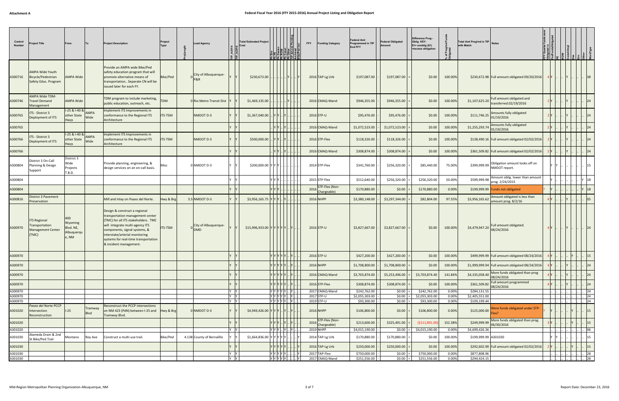| Control<br>Number  | Project Title                                                              | From                                               |                 | <b>Project Description</b>                                                                                                                                                                                                                                                       | Project<br>Type | <b>Lead Agency</b>                   |             | <b>Total Estimated Project</b> | <u>EEEEEEEE</u>                                                                   |           | <b>FFY</b> | <b>Funding Category</b>            | ederal Amt<br>Programmed in TIP<br>End FFY | <b>Federal Obligated</b><br>Amount | Difference Prog<br>Oblig KEY:<br>$$1=$ unoblig $$1)$<br>=excess obligation |                | Total Amt Prog'md in TIP Notes<br>with Match |                                                      |  |                |
|--------------------|----------------------------------------------------------------------------|----------------------------------------------------|-----------------|----------------------------------------------------------------------------------------------------------------------------------------------------------------------------------------------------------------------------------------------------------------------------------|-----------------|--------------------------------------|-------------|--------------------------------|-----------------------------------------------------------------------------------|-----------|------------|------------------------------------|--------------------------------------------|------------------------------------|----------------------------------------------------------------------------|----------------|----------------------------------------------|------------------------------------------------------|--|----------------|
| A300716            | <b>AMPA Wide Youth</b><br>Bicycle/Pedestrian<br>Safety Educ. Program       | <b>AMPA Wide</b>                                   |                 | Provide an AMPA wide Bike/Ped<br>safety education program that will<br>promote alternative means of<br>transportation Separate CN will be<br>issued later for each FY.                                                                                                           | Bike/Ped        | City of Albuquerque-                 |             | \$230,673.00                   |                                                                                   |           |            | 2016 TAP-Lg Urb                    | \$197,087.00                               | \$197,087.00                       | \$0.00                                                                     | 100.00%        |                                              | \$230,672.98 Full amount obligated 09/20/2016        |  |                |
| A300746            | <b>AMPA Wide TDM-</b><br>Travel Demand<br>Management                       | <b>AMPA Wide</b>                                   |                 | TDM program to include marketing,<br>public education, outreach, etc.                                                                                                                                                                                                            | <b>TDM</b>      | 0 Rio Metro Transit Dist             |             | \$1,469,135.00                 |                                                                                   |           |            | 2016 CMAQ-Mand                     | \$946,355.00                               | \$946,355.00                       | \$0.00                                                                     | 100.00%        | \$1,107,625.20                               | Full amount obligated and<br>transferred.02/19/2016  |  |                |
| A300765            | ITS - District 3<br>Deployment of ITS                                      | 1-25 & 1-40 & AMPA<br>other State<br>Hwys          | Wide            | Implement ITS Improvements in<br>conformance to the Regional ITS<br>Architecture                                                                                                                                                                                                 | TS-TSM          | NMDOT D-3                            |             | \$1,367,040.00                 |                                                                                   |           |            | 2016 STP-U                         | \$95,476.00                                | \$95,476.00                        | \$0.00                                                                     | 100.00%        | \$111,746.25                                 | Amounts fully obligated<br>01/19/2016                |  |                |
| A300765            |                                                                            |                                                    |                 |                                                                                                                                                                                                                                                                                  |                 |                                      |             |                                |                                                                                   |           |            | 2016 CMAQ-Mand                     | \$1,072,523.00                             | \$1,072,523.00                     | \$0.00                                                                     | 100.00%        | \$1,255,293.74                               | Amounts fully obligated<br>01/19/2016                |  |                |
| A300766            | TS - District 3<br>Deployment of ITS                                       | 1-25 & 1-40 & AMPA<br>other State<br><b>Hwys</b>   | Wide            | Implement ITS Improvements in<br>conformance to the Regional ITS<br>Architecture                                                                                                                                                                                                 | TS-TSM          | NMDOT D-3                            |             | \$500,000.00                   |                                                                                   |           |            | 2016 STP-Flex                      | \$118,326.00                               | \$118,326.00                       | \$0.00                                                                     | 100.00%        |                                              | \$138,490.16 Full amount obligated 02/02/2016        |  |                |
| A300766            |                                                                            |                                                    |                 |                                                                                                                                                                                                                                                                                  |                 |                                      |             |                                |                                                                                   |           |            | 2016 CMAQ-Mand                     | \$308,874.00                               | \$308,874.00                       | \$0.00                                                                     | 100.00%        |                                              | \$361,509.82   Full amount obligated 02/02/2016      |  |                |
| A300804            | District 3 On-Call<br>Planning & Design<br>Support                         | District 3<br>Wide<br>Projects<br>T.B.D.           |                 | Provide planning, engineering, &<br>design services on an on-call basis.                                                                                                                                                                                                         | Vlisc           | 0 NMDOT D-3                          |             | \$200,000.00 Y Y Y.            |                                                                                   |           |            | 2014 STP-Flex                      | \$341,760.00                               | \$256,320.00                       | \$85,440.00                                                                | 75.00%         | \$399,999.99                                 | Obligation amount looks off on<br>NMDOT report.      |  |                |
| A300804            |                                                                            |                                                    |                 |                                                                                                                                                                                                                                                                                  |                 |                                      |             |                                | Y Y Y I                                                                           |           |            | 2015 STP-Flex                      | \$512,640.00                               | \$256,320.00                       | \$256,320.00                                                               | 50.00%         | \$599,999.98                                 | Amount oblig. lower than amount<br>prog. 2/24/2015   |  | 18             |
| A300804            |                                                                            |                                                    |                 |                                                                                                                                                                                                                                                                                  |                 |                                      |             |                                |                                                                                   |           |            | 2016 STP-Flex (Non-<br>Chargeable) | \$170,880.00                               | \$0.00                             | \$170,880.00                                                               | 0.00%          |                                              | \$199,999.99 Funds not obligated                     |  | 18             |
| A300816            | District 3 Pavement<br>Preservation                                        |                                                    |                 | Mill and Inlay on Paseo del Norte.                                                                                                                                                                                                                                               | Hwy & Brg       | 3.5 NMDOT D-3                        |             | \$3,956,165.75                 |                                                                                   |           |            | 2016 NHPP                          | \$3,380,148.00                             | \$3,297,344.00                     | \$82,804.00                                                                | 97.55%         | \$3,956,165.62                               | Amount obligated is less than<br>amount prog. 8/2/16 |  | 0 <sub>5</sub> |
| A300970            | <b>ITS Regional</b><br>Transportation<br><b>Management Center</b><br>(TMC) | 400<br>Wyoming<br>Blvd. NE,<br>Albuquerqu<br>e, NM |                 | Design & construct a regional<br>transportation management center<br>(TMC) for all ITS stakeholders. TMC<br>will integrate multi-agency ITS<br>components, signal systems, &<br>interstate/arterial monitoring<br>systems for real-time transportation<br>& incident management. | <b>ITS-TSM</b>  | o City of Albuquerque-<br><b>DMD</b> |             | \$15,996,933.00 Y Y Y Y Y      |                                                                                   |           |            | 2016 STP-U                         | \$3,827,667.00                             | \$3,827,667.00                     | \$0.00                                                                     | 100.00%        | \$4,479,947.20                               | Full amount obligated.<br>08/24/2016                 |  |                |
| A300970            |                                                                            |                                                    |                 |                                                                                                                                                                                                                                                                                  |                 |                                      |             |                                | Y Y Y Y Y  Y                                                                      |           |            | 2016 STP-U                         | \$427,200.00                               | \$427,200.00                       | \$0.00                                                                     | 100.00%        |                                              | \$499,999.99   Full amount obligated 08/24/2016      |  | 15             |
| A300970            |                                                                            |                                                    |                 |                                                                                                                                                                                                                                                                                  |                 |                                      |             |                                | Y Y Y Y Y  Y .                                                                    |           |            | 2016 NHPP                          | \$1,708,800.00                             | \$1,708,800.00                     | \$0.00                                                                     | 100.00%        |                                              | \$1,999,999.94 Full amount obligated 08/24/2016      |  | 24             |
| A300970            |                                                                            |                                                    |                 |                                                                                                                                                                                                                                                                                  |                 |                                      |             |                                | $\mathsf{Y} \mathsf{Y} \mathsf{Y} \mathsf{Y} \mathsf{Y} \mathsf{Y}  \mathsf{Y}$ . |           |            | 2016 CMAQ-Mand                     | \$3,703,874.00                             | \$5,253,496.00                     | \$3,703,874.40                                                             | 141.84%        | \$4,335,058.40                               | More funds obligated than prog<br>08/24/2016         |  | 24             |
| A300970            |                                                                            |                                                    |                 |                                                                                                                                                                                                                                                                                  |                 |                                      |             |                                | $\mathbf{y}$ $\mathbf{y}$ $\mathbf{y}$ $\mathbf{y}$ $\mathbf{y}$                  |           |            | 2016 STP-Flex                      | \$308,874.00                               | \$308,874.00                       | \$0.00                                                                     | 100.00%        | \$361,509.82                                 | Full amount programmed                               |  | 24             |
| A300970            |                                                                            |                                                    |                 |                                                                                                                                                                                                                                                                                  |                 |                                      | Y IY        |                                | Y Y Y Y Y . Y .                                                                   |           |            | 2017 CMAQ-Mand                     | \$242,762.00                               | \$0.00                             | \$242,762.00                                                               | 0.00%          | \$284,131.55                                 | 08/24/2016                                           |  | 24             |
| A300970            |                                                                            |                                                    |                 |                                                                                                                                                                                                                                                                                  |                 |                                      | Y Y<br>Y IY |                                | Y Y Y Y Y  Y                                                                      |           |            | 2017 STP-U<br>2019 STP-U           | \$2,055,303.00                             | \$0.00<br>\$0.00                   | \$2,055,303.00<br>\$93,300.00                                              | 0.00%<br>0.00% | \$2,405,551.00                               |                                                      |  | 24<br> 24      |
| A300970<br>A301020 | Paseo del Norte PCCP<br>ntersection<br>Reconstruction                      | $I-25$                                             | Tramway<br>Blvd | Reconstruct the PCCP intersections<br>on NM 423 (PdN) between I-25 and<br>Tramway Blvd.                                                                                                                                                                                          | Hwy & Brg       | 0 NMDOT D-3                          |             | $$4,949,426.00$ Y Y Y .        | $ Y Y Y Y Y $ $ Y $ .                                                             | .  Y    Y |            | 2016 NHPP                          | \$93,300.00<br>\$106,800.00                | \$0.00                             | \$106,800.00                                                               | 0.00%          | \$109,199.44<br>\$125,000.00                 | Vere funds obligated under STP-<br>:lex?             |  | 15             |
| A301020            |                                                                            |                                                    |                 |                                                                                                                                                                                                                                                                                  |                 |                                      |             |                                |                                                                                   |           |            | 2016 STP-Flex (Non-<br>Chargeable) | \$213,600.00                               | \$325,491.00                       | ( \$111, 891.00)                                                           | 152.38%        | \$249,999.99                                 | More funds obligated than prog.<br>06/30/2016        |  | 15             |
| A301020            |                                                                            |                                                    |                 |                                                                                                                                                                                                                                                                                  |                 |                                      | Y Y         |                                | YYYYY                                                                             |           |            | 2019 NHPP                          | \$4,015,190.00                             | $$0.00 =$                          | \$4,015,190.00                                                             | 0.00%          | \$4,699,426.36                               |                                                      |  | 06             |
| A301030            | Alameda Drain & 2nd<br>St Bike/Ped Trail                                   | Montano                                            | Roy Ave         | Construct a multi-use trail.                                                                                                                                                                                                                                                     | Bike/Ped        | 4.138 County of Bernalillo           |             | $$1,664,836.00$ Y Y Y Y Y      |                                                                                   |           |            | 2014 TAP-Lg Urb                    | \$170,880.00                               | \$170,880.00                       | \$0.00                                                                     | 100.00%        | \$199,999.99 A301030                         |                                                      |  | 15             |
| A301030            |                                                                            |                                                    |                 |                                                                                                                                                                                                                                                                                  |                 |                                      |             |                                | YYYYY                                                                             |           |            | 2016 TAP-Lg Urb                    | \$250,000.00                               | \$250,000.00                       | \$0.00                                                                     | 100.00%        |                                              | \$292,602.99 Full amount obligated 02/02/2016        |  | 15             |
| A301030            |                                                                            |                                                    |                 |                                                                                                                                                                                                                                                                                  |                 |                                      | Y Y         |                                | $\boxed{Y[Y]Y[Y Y]}.$                                                             |           |            | 2017 TAP-Flex                      | \$750,000.00                               | \$0.00                             | \$750,000.00                                                               | 0.00%          | \$877,808.96                                 |                                                      |  | 28             |
| A301030            |                                                                            |                                                    |                 |                                                                                                                                                                                                                                                                                  |                 |                                      | Y Y         |                                | Y Y Y Y Y                                                                         |           |            | 2017 CMAQ-Mand                     | \$251,556.00                               | \$0.00:                            | \$251,556.00                                                               | 0.00%          | \$294,424.15                                 |                                                      |  | 28             |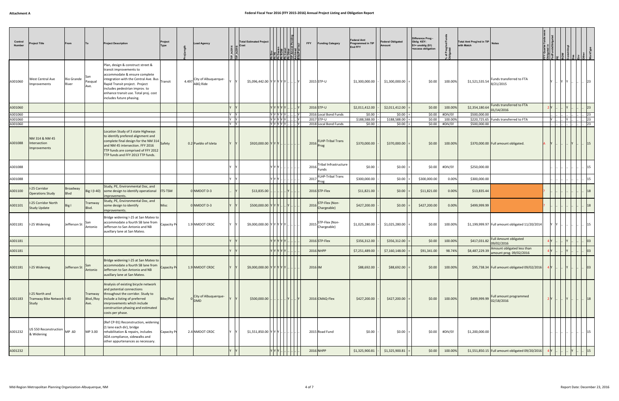| Control<br>Number | Project Title                                        | From                |                              | <b>Project Description</b>                                                                                                                                                                                                                                                      | Project<br><b>Type</b> |       | <b>Lead Agency</b>                 |     | <b>Total Estimated Project</b><br>Cost | 침급휴  취ォ  취용                         |  | <b>FFY</b><br><b>Funding Category</b>  | Federal Amt<br>Programmed in TIP<br>End FFY | <b>Federal Obligated</b><br>Amount | Difference Prog -<br>Oblig KEY:<br>$$1=$ unoblig $$1)$<br>=excess obligation |         | Total Amt Prog'md in TIP Notes<br>with Match |                                                                                                                                |          |     |                           |               |
|-------------------|------------------------------------------------------|---------------------|------------------------------|---------------------------------------------------------------------------------------------------------------------------------------------------------------------------------------------------------------------------------------------------------------------------------|------------------------|-------|------------------------------------|-----|----------------------------------------|-------------------------------------|--|----------------------------------------|---------------------------------------------|------------------------------------|------------------------------------------------------------------------------|---------|----------------------------------------------|--------------------------------------------------------------------------------------------------------------------------------|----------|-----|---------------------------|---------------|
| A301060           | West Central Ave<br>mprovements                      | Rio Grande<br>River | San<br>Pasqual<br>Ave.       | Plan, design & construct street &<br>transit improvements to<br>accommodate & ensure complete<br>integration with the Central Ave. Bus<br>Rapid Transit project. Project<br>includes pedestrian improv. to<br>enhance transit use. Total proj. cost<br>includes future phasing. | Transit                | 4.497 | City of Albuquerque-<br>ABQ Ride   |     | \$5,096,442.00 Y Y Y Y Y Y             |                                     |  | 2015 STP-U                             | \$1,300,000.00                              | \$1,300,000.00                     | \$0.00                                                                       | 100.00% | \$1,521,535.54                               | Funds transferred to FTA<br>8/21/2015                                                                                          |          | Y Y | $ 23\rangle$              |               |
| A301060           |                                                      |                     |                              |                                                                                                                                                                                                                                                                                 |                        |       |                                    |     |                                        |                                     |  | 2016 STP-U                             | \$2,011,412.00                              | \$2,011,412.00                     | \$0.00                                                                       | 100.00% |                                              | \$2,354,180.64 Funds transferred to FTA<br>01/14/2016                                                                          |          |     |                           | 23            |
| A301060           |                                                      |                     |                              |                                                                                                                                                                                                                                                                                 |                        |       |                                    | Y Y |                                        | <sub>I</sub> Υ  Υ  Υ  Υ  …  …  …  Υ |  | 2016 Local Bond Funds                  | \$0.00                                      | \$0.00                             | \$0.00                                                                       | #DIV/0! | \$500,000.00                                 |                                                                                                                                |          |     |                           | $ 23\rangle$  |
| A301060           |                                                      |                     |                              |                                                                                                                                                                                                                                                                                 |                        |       |                                    | Y Y |                                        | Y  Y  Y  Y  Y        Y              |  | 2017 STP-U                             | \$188,588.00                                | \$188,588.00                       | \$0.00                                                                       | 100.00% |                                              | \$220,725.65 Funds transferred to FTA                                                                                          | - Y  I.  | Y   |                           | 23            |
| A301060           |                                                      |                     |                              |                                                                                                                                                                                                                                                                                 |                        |       |                                    | Y Y |                                        | YYYYYY                              |  | 2018 Local Bond Funds                  | \$0.00                                      | $$0.00$ =                          | \$0.00                                                                       | #DIV/0! | \$500,000.00                                 |                                                                                                                                |          |     |                           | 23            |
| A301088           | NM 314 & NM 45<br>Intersection<br>Improvements       |                     |                              | Location Study of 3 state Highways<br>to identify prefered alignment and<br>complete final design for the NM 314 Safety<br>and NM 45 intersection. FFY 2016<br>TTP funds are comprised of FFY 2012<br>TTP funds and FFY 2013 TTP funds.                                         |                        |       | 0.2 Pueblo of Isleta               |     | $$920,000.00$ Y Y Y                    |                                     |  | <b>FLHP-Tribal Trans</b><br>2016       | \$370,000.00                                | \$370,000.00                       | \$0.00                                                                       | 100.00% |                                              | \$370,000.00 Full amount obligated.                                                                                            |          |     |                           | <sup>15</sup> |
| A301088           |                                                      |                     |                              |                                                                                                                                                                                                                                                                                 |                        |       |                                    |     |                                        | Y IY IY                             |  | Tribal Infrastructure<br>2016<br>Funds | \$0.00                                      | \$0.00                             | \$0.00                                                                       | #DIV/0! | \$250,000.00                                 |                                                                                                                                |          |     |                           | 15            |
| A301088           |                                                      |                     |                              |                                                                                                                                                                                                                                                                                 |                        |       |                                    |     |                                        |                                     |  | <b>FLHP-Tribal Trans</b><br>2017       | \$300,000.00                                | \$0.00                             | \$300,000.00                                                                 | 0.00%   | \$300,000.00                                 |                                                                                                                                |          |     |                           |               |
| A301100           | -25 Corridor<br><b>Operations Study</b>              | Broadway<br>Blvd    |                              | Study, PE, Environmental Doc, and<br>Big I (I-40) some design to identify operational<br>improvements.                                                                                                                                                                          | <b>ITS-TSM</b>         |       | 0 NMDOT D-3                        |     | \$13,835.00                            |                                     |  | 2016 STP-Flex                          | \$11,821.00                                 | \$0.00                             | \$11,821.00                                                                  | 0.00%   | \$13,835.44                                  |                                                                                                                                |          |     |                           |               |
| A301101           | -25 Corridor North<br><b>Study Update</b>            | Big I               | Tramway<br>Blvd.             | Study, PE, Environmental Doc, and<br>some design to identify<br>improvements.                                                                                                                                                                                                   | Misc                   |       | 0 NMDOT D-3                        |     | \$500,000.00                           |                                     |  | STP-Flex (Non-<br>2016<br>Chargeable)  | \$427,200.00                                | \$0.00                             | \$427,200.00                                                                 | 0.00%   | \$499,999.99                                 |                                                                                                                                |          |     |                           |               |
| A301181           | I-25 Widening                                        | Jefferson St        | San<br>Antonio               | Bridge widening I-25 at San Mateo to<br>accommodate a fourth SB lane from<br>Jefferson to San Antonio and NB<br>auxillary lane at San Mateo.                                                                                                                                    | Capacity Pr            |       | 1.9 NMDOT CRDC                     |     | \$9,000,000.00 Y Y Y Y Y Y             |                                     |  | STP-Flex (Non-<br>2015<br>Chargeable)  | \$1,025,280.00                              | \$1,025,280.00                     | \$0.00                                                                       | 100.00% |                                              | \$1,199,999.97 Full amount obligated 11/20/2014                                                                                |          |     |                           | 15            |
| A301181           |                                                      |                     |                              |                                                                                                                                                                                                                                                                                 |                        |       |                                    |     |                                        |                                     |  | 2016 STP-Flex                          | \$356,312.00                                | \$356,312.00                       | \$0.00                                                                       | 100.00% | \$417,031.82                                 | <b>Full Amount obligated</b><br>09/02/2016                                                                                     |          |     |                           | 03            |
| A301181           |                                                      |                     |                              |                                                                                                                                                                                                                                                                                 |                        |       |                                    |     |                                        |                                     |  | 2016 NHPP                              | \$7,251,489.00                              | \$7,160,148.00                     | \$91,341.00                                                                  | 98.74%  |                                              | \$8,487,229.39 $\left  \begin{array}{c} \text{Amount obliged less than} \\ \text{amount prog. 09/02/2016} \end{array} \right $ |          |     |                           |               |
| A301181           | I-25 Widening                                        | Jefferson St        | San<br>Antonio               | Bridge widening I-25 at San Mateo to<br>accommodate a fourth SB lane from<br>Jefferson to San Antonio and NB<br>auxillary lane at San Mateo.                                                                                                                                    | <b>Capacity Pr</b>     |       | 1.9 NMDOT CRDC                     |     | \$9,000,000.00 Y Y Y Y Y Y.            |                                     |  | 2016 IM                                | \$88,692.00                                 | \$88,692.00                        | \$0.00                                                                       | 100.00% |                                              | \$95,738.34 Full amount obligated 09/02/2016                                                                                   | $4$ Y  Y |     | $\  \cdot \  \cdot \ $ 03 |               |
| A301183           | I-25 North and<br>Tramway Bike Network I-40<br>Study |                     | Tramway<br>Blvd./Roy<br>Ave. | Analysis of existing bicycle network<br>and potential connections<br>throughout the corridor. Study to<br>include a listing of preferred<br>imrprovements which include<br>construction phasing and estimated<br>costs per phase.                                               | Bike/Ped               |       | City of Albuquerque-<br><b>DMD</b> |     | \$500,000.00                           |                                     |  | 2016 CMAQ-Flex                         | \$427,200.00                                | \$427,200.00                       | \$0.00                                                                       | 100.00% | \$499,999.99 02/18/2016                      | Full amount programmed                                                                                                         | 2Y       |     | 18                        |               |
| A301232           | US 550 Reconstruction MP .60<br>& Widening           |                     | MP 3.00                      | (Ref CP-91) Reconstruction, widening<br>(1 lane each dir), bridge<br>rehabilitation & repairs, includes<br>ADA compliance, sidewalks and<br>other appurtenances as necessary.                                                                                                   | Capacity Pr            |       | 2.4 NMDOT CRDC                     |     | $$1,551,850.00$ YYY Y                  |                                     |  | 2015 Road Fund                         | \$0.00                                      | \$0.00                             | \$0.00                                                                       | #DIV/0! | \$1,200,000.00                               |                                                                                                                                |          |     | 15                        |               |
| A301232           |                                                      |                     |                              |                                                                                                                                                                                                                                                                                 |                        |       |                                    |     |                                        |                                     |  | 2016 NHPP                              | \$1,325,900.81                              | \$1,325,900.81                     | \$0.00                                                                       | 100.00% |                                              | \$1,551,850.15 Full amount obligated 09/20/2016                                                                                |          |     |                           |               |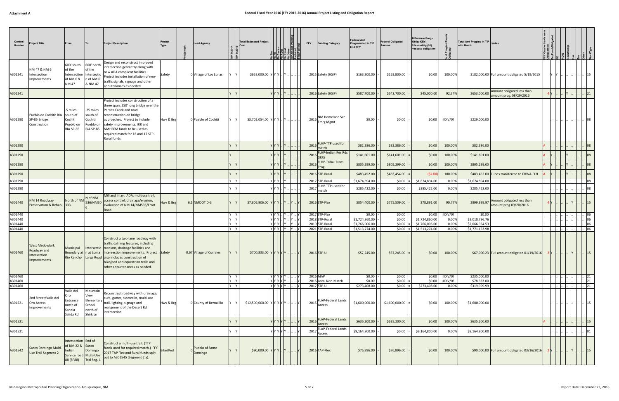| Control<br>Number  | Project Title                                                 | From                                                                                     |                                                                  | <b>Project Description</b>                                                                                                                                                                                                                                                                                                  | Project<br>Type | Lead Agency                |                | <b>Total Estimated Project</b><br>Cost | <u>EEEEEEEEE</u>                |                | <b>FFY</b> | <b>Funding Category</b>                                                  | Federal Amt<br><b>Programmed in TIP</b><br>End FFY | <b>Federal Obligated</b><br>Amount | <b>Difference Prog</b><br>Oblig KEY:<br>$$1=$ unoblig $$1)$<br>=excess obligation |                  | Total Amt Prog'md in TIP Notes<br>with Match |                                                       |     |  |                                        |
|--------------------|---------------------------------------------------------------|------------------------------------------------------------------------------------------|------------------------------------------------------------------|-----------------------------------------------------------------------------------------------------------------------------------------------------------------------------------------------------------------------------------------------------------------------------------------------------------------------------|-----------------|----------------------------|----------------|----------------------------------------|---------------------------------|----------------|------------|--------------------------------------------------------------------------|----------------------------------------------------|------------------------------------|-----------------------------------------------------------------------------------|------------------|----------------------------------------------|-------------------------------------------------------|-----|--|----------------------------------------|
| A301241            | NM 47 & NM 6<br>Intersection<br>mprovements                   | 600' south<br>of the<br>Intersection<br>of NM 6 &<br>NM 47                               | 600' north<br>of the<br>Intersectio<br>n of NM 6<br>& NM 47      | Design and reconstruct improved<br>intersection geometry along with<br>new ADA complient facilities.<br>Project includes installation of new<br>traffic signals, signage and other<br>apputenances as needed.                                                                                                               | Safety          | 0 Village of Los Lunas     |                | \$653,000.00 YYYY Y                    |                                 |                |            | 2015 Safety (HSIP)                                                       | \$163,800.00                                       | \$163,800.00                       | \$0.00                                                                            | 100.00%          |                                              | \$182,000.00 Full amount obligated 5/19/2015          |     |  |                                        |
| A301241            |                                                               |                                                                                          |                                                                  |                                                                                                                                                                                                                                                                                                                             |                 |                            |                |                                        |                                 |                |            | 2016 Safety (HSIP)                                                       | \$587,700.00                                       | \$542,700.00                       | \$45,000.00                                                                       | 92.34%           | \$653,000.00                                 | Amount obligated less than<br>amount prog. 08/29/2016 |     |  |                                        |
| A301290            | Pueblo de Cochiti: BIA<br>SP-85 Bridge<br>Construction        | 5 miles<br>south of<br>Cochiti<br>Pueblo on<br>BIA SP-85                                 | .25 miles<br>south of<br>Cochiti<br>Pueblo on<br>BIA SP-85       | Project includes construction of a<br>three span, 250' long bridge over the<br>Peralta Creek and road<br>reconstruction on bridge<br>approaches. Project to include<br>safety improvements. IRR and<br>NMHSEM funds to be used as<br>required match for 16 and 17 STP-<br><b>Rural funds</b>                                | Hwy & Brg       | 0 Pueblo of Cochiti        |                | $$3,702,054.00$ Y Y Y  Y               |                                 |                |            | NM Homeland Sec<br>2016 Emrg Mgmt                                        | \$0.00                                             | \$0.00                             | \$0.00                                                                            | #DIV/0!          | \$229,000.00                                 |                                                       |     |  |                                        |
| A301290            |                                                               |                                                                                          |                                                                  |                                                                                                                                                                                                                                                                                                                             |                 |                            |                |                                        |                                 |                | 2016       | FLHP-TTP used for<br>match                                               | \$82,386.00                                        | \$82,386.00                        | \$0.00                                                                            | 100.00%          | \$82,386.00                                  |                                                       |     |  | 08                                     |
| A301290            |                                                               |                                                                                          |                                                                  |                                                                                                                                                                                                                                                                                                                             |                 |                            |                |                                        |                                 |                | 2016       | <b>FLHP-Indian Res Rds</b>                                               | \$141,601.00                                       | \$141,601.00                       | \$0.00                                                                            | 100.00%          | \$141,601.00                                 |                                                       |     |  | 08                                     |
| A301290            |                                                               |                                                                                          |                                                                  |                                                                                                                                                                                                                                                                                                                             |                 |                            |                |                                        |                                 |                |            | <b>FLHP-Tribal Trans</b><br>2016 Prog                                    | \$805,299.00                                       | \$805,299.00                       | \$0.00                                                                            | 100.00%          | \$805,299.00                                 |                                                       |     |  |                                        |
| A301290            |                                                               |                                                                                          |                                                                  |                                                                                                                                                                                                                                                                                                                             |                 |                            |                |                                        |                                 |                |            | 2016 STP-Rural                                                           | \$483,452.00                                       | \$483,454.00                       | (52.00)                                                                           | 100.00%          |                                              | \$483,452.00 Funds transferred to FHWA-FLH            |     |  | 08                                     |
| A301290            |                                                               |                                                                                          |                                                                  |                                                                                                                                                                                                                                                                                                                             |                 |                            | Y Y            |                                        | Y  Y  Y    Y                    |                |            | 2017 STP-Rural                                                           | \$1,674,894.00                                     | \$0.00                             | \$1,674,894.00                                                                    | 0.00%            | \$1,674,894.00                               |                                                       |     |  | 08                                     |
| A301290            |                                                               |                                                                                          |                                                                  |                                                                                                                                                                                                                                                                                                                             |                 |                            |                |                                        | Y IY IY I.                      |                |            | 2017 FLHP-TTP used for<br>match                                          | \$285,422.00                                       | \$0.00                             | \$285,422.00                                                                      | 0.00%            | \$285,422.00                                 |                                                       |     |  |                                        |
| A301440            | VM 14 Roadway<br>Preservation & Rehab. 333                    | North of NM                                                                              | N of NM<br>536/NM30                                              | Mill and Inlay; ADA; multiuse trail;<br>access control; drainage/erosion;<br>evaluation of NM 14/NM536/Frost<br>Road.                                                                                                                                                                                                       | Hwy & Brg       | 6.1 NMDOT D-3              |                | \$7,606,906.00 $Y Y $ .                |                                 | . IY I.        |            | 2016 STP-Flex                                                            | \$854,400.00                                       | \$775,509.00                       | \$78,891.00                                                                       | 90.77%           | \$999,999.97                                 | Amount obligated less than<br>amount prog 09/20/2016  |     |  | 15                                     |
| A301440<br>A301440 |                                                               |                                                                                          |                                                                  |                                                                                                                                                                                                                                                                                                                             |                 |                            | Y Y<br>$Y$ $Y$ |                                        | YYY.<br> Y  Y  Y    Y    Y    ´ | .  Y    Y    ˈ |            | 2017 STP-Flex<br>2018 STP-Rural                                          | \$0.00<br>\$1,724,860.00                           | \$0.00<br>\$0.00                   | \$0.00<br>\$1,724,860.00                                                          | #DIV/0!<br>0.00% | \$0.00<br>\$2,018,796.76                     |                                                       |     |  | 06<br>06                               |
| A301440            |                                                               |                                                                                          |                                                                  |                                                                                                                                                                                                                                                                                                                             |                 |                            | Y              |                                        | Y  Y  Y    Y    Y    Y          |                |            | 2019 STP-Rural                                                           | \$1,766,006.00                                     | \$0.00                             | \$1,766,006.00                                                                    | 0.00%            | \$2,066,954.53                               |                                                       |     |  | 06                                     |
| A301440            |                                                               |                                                                                          |                                                                  |                                                                                                                                                                                                                                                                                                                             |                 |                            | IY IY          |                                        | Y Y Y  Y  Y  I                  |                |            | 2021 STP-Rural                                                           | \$1,513,274.00                                     | \$0.00                             | \$1,513,274.00                                                                    | 0.00%            | \$1,771,153.98                               |                                                       |     |  | 06                                     |
| A301460            | West Medowlark<br>Roadway and<br>Intersection<br>Improvements | Municipal                                                                                |                                                                  | Construct a two-lane roadway with<br>traffic calming features, including<br>Intersectio   medians, drainage facilities and<br>Boundary at  n at Loma  intersection improvements. Project<br>Rio Rancho   Larga Road   also includes construction of<br>bike/ped and equestrian trails and<br>other appurtenances as needed. | Safety          | 0.67 Village of Corrales   |                | \$700,333.00 YYYYYY.                   |                                 |                |            | 2016 STP-U                                                               | \$57,245.00                                        | \$57,245.00                        | \$0.00                                                                            | 100.00%          |                                              | \$67,000.23 Full amount obligated 01/19/2016          | 2Y  |  | 15                                     |
| A301460            |                                                               |                                                                                          |                                                                  |                                                                                                                                                                                                                                                                                                                             |                 |                            | Y Y            |                                        | Y Y Y Y Y   Y                   |                |            | 2016 MAP                                                                 | \$0.00                                             | \$0.00                             | \$0.00                                                                            | #DIV/0!          | \$235,000.00                                 |                                                       |     |  | $\begin{vmatrix} 1 & 21 \end{vmatrix}$ |
| A301460<br>A301460 |                                                               |                                                                                          |                                                                  |                                                                                                                                                                                                                                                                                                                             |                 |                            | Y Y<br>ly ly   |                                        | <u>VYYYY…… ~ Y</u><br>YYYY.     |                |            | 2016 Local Non-Match<br>2017 STP-U                                       | \$0.00<br>\$273,408.00                             | \$0.00<br>\$0.00                   | \$0.00<br>\$273,408.00                                                            | #DIV/0!<br>0.00% | \$78,333.00<br>\$319,999.99                  |                                                       |     |  | 21<br>21                               |
| A301521            | 2nd Street/Valle del<br>Oro Access<br>Improvements            | Valle del<br>Oro<br>Entrance<br>north of<br>Sandia<br>Salida Rd.                         | Mountain<br>View<br>Elementary<br>School<br>north of<br>Shirk Ln | Reconstruct roadway with drainage,<br>curb, gutter, sidewalks, multi-use<br>trail, lighting, signage and<br>realignment of the Desert Rd<br>intersection.                                                                                                                                                                   | Hwy & Brg       | 0 County of Bernalillo     |                | \$12,500,000.00 Y Y Y Y Y Y            |                                 |                |            | <b>FLAP-Federal Lands</b><br>$2015$ $\sqrt{\frac{2015}{\text{Access}}}\$ | \$1,600,000.00                                     | \$1,600,000.00                     | \$0.00                                                                            | 100.00%          | \$1,600,000.00                               |                                                       |     |  | $\therefore$ 15                        |
| A301521            |                                                               |                                                                                          |                                                                  |                                                                                                                                                                                                                                                                                                                             |                 |                            |                |                                        | Y Y Y Y Y  1                    |                |            | 2016 FLAP-Federal Lands<br>Access                                        | \$635,200.00                                       | \$635,200.00                       | \$0.00                                                                            | 100.00%          | \$635,200.00                                 |                                                       |     |  | 15                                     |
| A301521            |                                                               |                                                                                          |                                                                  |                                                                                                                                                                                                                                                                                                                             |                 |                            |                |                                        | Y Y Y Y Y I                     |                | 2017       | <b>FLAP-Federal Lands</b><br>Access                                      | \$9,164,800.00                                     | \$0.00                             | \$9,164,800.00                                                                    | 0.00%            | \$9,164,800.00                               |                                                       |     |  | 101                                    |
| A301542            | Santo Domingo Multi-<br>Use Trail Segment 2                   | Intersection End of<br>of NM 22 & Santo<br>Indian<br>Service road Multi-Use<br>88 (SP88) | Domingo<br>Tral Seg.                                             | Construct a multi-use trail. (TTP<br>funds used for required match.) FFY<br>2017 TAP Flex and Rural funds split<br>out to A301545 (Segment 2 a).                                                                                                                                                                            | Bike/Ped        | Pueblo of Santo<br>Domingo |                | $$90,000.00$ Y Y Y   Y      Y          |                                 |                |            | 2016 TAP-Flex                                                            | \$76,896.00                                        | \$76,896.00                        | \$0.00                                                                            | 100.00%          |                                              | \$90,000.00 Full amount obligated 03/16/2016          | 2 Y |  | $\vert \cdot \vert$ 15                 |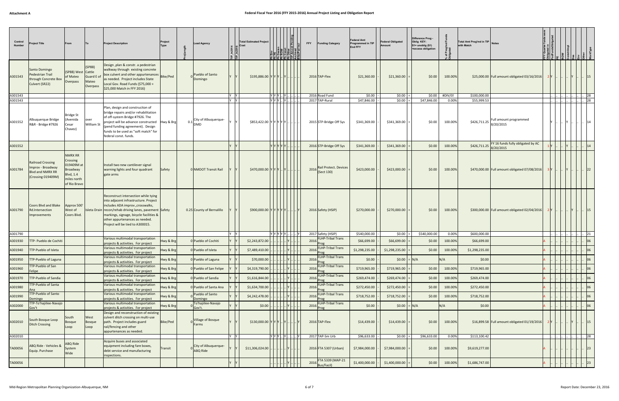| Control<br><b>Number</b> | Project Title                                                                          | From                                                                                             |                                          | <b>Project Description</b>                                                                                                                                                                                                                                                                         | Project<br><b>Type</b> | Lead Agency                                          |     | <b>Total Estimated Project</b><br>Cost |                                 | EEEEEEE |           | <b>FFY</b> |      | <b>Funding Category</b>                    | <b>Federal Amt</b><br>Programmed in TIP<br>End FFY | <b>Federal Obligated</b><br>Amount | Difference Prog -<br>Oblig KEY:<br>$$1=$ unoblig $$1)$<br>=excess obligation |                  | Total Amt Prog'md in TIP<br>with Match |                                               |  |  |              |
|--------------------------|----------------------------------------------------------------------------------------|--------------------------------------------------------------------------------------------------|------------------------------------------|----------------------------------------------------------------------------------------------------------------------------------------------------------------------------------------------------------------------------------------------------------------------------------------------------|------------------------|------------------------------------------------------|-----|----------------------------------------|---------------------------------|---------|-----------|------------|------|--------------------------------------------|----------------------------------------------------|------------------------------------|------------------------------------------------------------------------------|------------------|----------------------------------------|-----------------------------------------------|--|--|--------------|
| A301543                  | Santo Domingo<br>Pedestrian Trail<br>through Concrete Box<br>Culvert (SR22)            | (SP88) West Cattle<br>of Mateo<br>Overpass                                                       | (SP88)<br>Guard E o<br>Mateo<br>Overpass | Design, plan & constr. a pedestrian<br>walkway through existing concrete<br>box culvert and other appurtenances<br>as needed. Project includes State<br>Local Gov. Road Funds (\$75,000 +<br>\$25,000 Match in FFY 2016)                                                                           | <b>Bike/Ped</b>        | Pueblo of Santo<br>Domingo                           |     | \$195,886.00 Y Y Y  Y                  |                                 |         |           |            |      | 2016 TAP-Flex                              | \$21,360.00                                        | \$21,360.00                        | \$0.00                                                                       | 100.00%          |                                        | \$25,000.00 Full amount obligated 03/16/2016  |  |  | $ 15\rangle$ |
| A301543                  |                                                                                        |                                                                                                  |                                          |                                                                                                                                                                                                                                                                                                    |                        |                                                      | Y Y |                                        | $ Y Y Y $ $ Y $<br>$Y[Y Y $ $Y$ |         |           |            |      | 2016 Road Fund<br>2017 TAP-Rural           | \$0.00                                             | \$0.00<br>\$0.00                   | \$0.00<br>\$47,846.00                                                        | #DIV/0!<br>0.00% | \$100,000.00<br>\$55,999.53            |                                               |  |  | 28<br>28     |
| A301543<br>A301552       | Albuquerque Bridge<br>R&R - Bridge #7926                                               | <b>Bridge St</b><br>Avenida<br>Cesar<br>Chavez)                                                  | over<br>William St                       | Plan, design and construciton of<br>bridge repairs and/or rehabilitation<br>of off-system Bridge #7926. The<br>project will be advance constructed<br>(pend funding agreement). Design<br>funds to be used as "soft match" for<br>federal const. funds.                                            | Hwy & Brg              | 0.1 City of Albuquerque-<br>DMD                      |     | \$853,422.00 Y Y Y Y Y Y               |                                 |         |           |            |      | 2015 STP-Bridge Off Sys                    | \$47,846.00<br>\$341,369.00                        | \$341,369.00                       | \$0.00                                                                       | 100.00%          | \$426,711.25                           | Full amount programmed<br>8/20/2015           |  |  |              |
| A301552                  |                                                                                        |                                                                                                  |                                          |                                                                                                                                                                                                                                                                                                    |                        |                                                      |     |                                        | YIYIYI                          |         |           |            |      | 2016 STP-Bridge Off Sys                    | \$341,369.00                                       | \$341,369.00                       | \$0.00                                                                       | 100.00%          | $\frac{226}{711.25}$ 8/20/2015         | FY 16 funds fully obligated by AC             |  |  |              |
| A301784                  | <b>Railroad Crossing</b><br>mprov - Broadway<br>Blvd and NMRX RR<br>(Crossing 019409M) | <b>NMRX RR</b><br>Crossing<br>019409M at<br>Broadway<br>Blvd, 1.4<br>miles north<br>of Rio Bravo |                                          | Install two new cantilever signal<br>warning lights and four quadrant<br>gate arms                                                                                                                                                                                                                 | Safety                 | 0 NMDOT Transit Rail                                 |     | $$470,000.00$ Y Y Y  Y    Y            |                                 |         |           |            |      | Rail Protect. Devices<br>$2016$ (Sect 130) | \$423,000.00                                       | \$423,000.00                       | \$0.00                                                                       | 100.00%          |                                        | \$470,000.00 Full amount obligated 07/08/2016 |  |  |              |
| A301790                  | Coors Blvd and Blake<br>Rd.Intersection<br>mprovements                                 | Approx 500'<br>West of<br>Coors Blvd.                                                            |                                          | Reconstruct intersection while tying<br>into adjacent infrastructure. Project<br>includes ADA improv., crosswalks,<br>Isleta Drain   recon/rehab driving lanes, pavement   Safety<br>markings, signage, bicycle facilities &<br>other appurtenances as needed.<br>Project will be tied to A300015. |                        | 0.25 County of Bernalillo                            |     | \$900,000.00 Y Y Y Y Y Y               |                                 |         |           |            |      | 2016 Safety (HSIP)                         | \$270,000.00                                       | \$270,000.00                       | \$0.00                                                                       | 100.00%          |                                        | \$300,000.00 Full amount obligated 02/04/2016 |  |  | 15           |
| A301790                  |                                                                                        |                                                                                                  |                                          |                                                                                                                                                                                                                                                                                                    |                        |                                                      |     |                                        | YYYYY.                          |         |           |            |      | 2017 Safety (HSIP)                         | \$540,000.00                                       | $ 50.00 $ =                        | \$540,000.00                                                                 | 0.00%            | \$600,000.00                           |                                               |  |  | 21           |
| A301930                  | TTP- Pueblo de Cochiti                                                                 |                                                                                                  |                                          | Various multimodal transportation<br>projects & activities. For project                                                                                                                                                                                                                            | Hwy & Brg              | 0 Pueblo of Cochiti                                  |     | \$2,243,872.00                         |                                 |         |           |            |      | 2016 FLHP-Tribal Trans                     | \$66,699.00                                        | \$66,699.00                        | \$0.00                                                                       | 100.00%          | \$66,699.00                            |                                               |  |  |              |
| A301940                  | <b>TTP-Pueblo of Isleta</b>                                                            |                                                                                                  |                                          | Various multimodal transportation<br>projects & activities. For project                                                                                                                                                                                                                            | Hwy & Brg              | 0 Pueblo of Isleta                                   |     | \$7,489,410.00                         |                                 |         |           |            |      | 2016 FLHP-Tribal Trans                     | \$1,298,235.00                                     | \$1,298,235.00                     | \$0.00                                                                       | 100.00%          | \$1,298,235.00                         |                                               |  |  | 06           |
| A301950                  | TTP-Pueblo of Laguna                                                                   |                                                                                                  |                                          | Various multimodal transportation<br>projects & activities. For project                                                                                                                                                                                                                            | Hwy & Brg              | 0 Pueblo of Laguna                                   |     | \$70,000.00                            |                                 |         |           |            |      | <b>FLHP-Tribal Trans</b><br>2016 Prog      | \$0.00                                             | $ 50.00  =  N/A $                  |                                                                              | N/A              | \$0.00                                 |                                               |  |  | 06           |
| A301960                  | TP-Pueblo of San<br>Felipe                                                             |                                                                                                  |                                          | Various multimodal transportation<br>projects & activities. For project                                                                                                                                                                                                                            | Hwy & Brg              | 0 Pueblo of San Felipe                               |     | \$4,319,790.00                         |                                 |         |           |            | 2016 | FLHP-Tribal Trans<br>Prog                  | \$719,965.00                                       | \$719,965.00                       | \$0.00                                                                       | 100.00%          | \$719,965.00                           |                                               |  |  | 06           |
| A301970                  | <b>TTP-Pueblo of Sandia</b>                                                            |                                                                                                  |                                          | Various multimodal transportation<br>projects & activities. For project                                                                                                                                                                                                                            | Hwy & Brg              | 0 Pueblo of Sandia                                   |     | \$1,616,844.00                         |                                 |         |           |            |      | FLHP-Tribal Trans<br>2016 Prog             | \$269,474.00                                       | \$269,474.00                       | \$0.00                                                                       | 100.00%          | \$269,474.00                           |                                               |  |  | 06           |
| A301980                  | <b>TTP-Pueblo of Santa</b>                                                             |                                                                                                  |                                          | Various multimodal transportation<br>projects & activities. For project                                                                                                                                                                                                                            | Hwy & Brg              | 0 Pueblo of Santa Ana                                |     | \$1,634,700.00                         |                                 |         |           |            |      | <b>FLHP-Tribal Trans</b><br>2016 Prog      | \$272,450.00                                       | \$272,450.00                       | \$0.00                                                                       | 100.00%          | \$272,450.00                           |                                               |  |  | 06           |
| A301990                  | TTP-Pueblo of Santo<br>Domingo                                                         |                                                                                                  |                                          | Various multimodal transportation<br>projects & activities. For project                                                                                                                                                                                                                            | Hwy & Brg              | Pueblo of Santo<br>Domingo                           |     | \$4,242,478.00                         |                                 |         |           |            |      | FLHP-Tribal Trans<br>2016 Prog             | \$718,752.00                                       | \$718,752.00                       | \$0.00                                                                       | 100.00%          | \$718,752.00                           |                                               |  |  | 06           |
| A302000                  | TTP-To'hajiilee-Navajo<br>Gov't                                                        |                                                                                                  |                                          | Various multimodal transportation<br>projects & activities. For project                                                                                                                                                                                                                            | Hwy & Brg              | To'hajiilee-Navajo<br>Gov't.                         |     | \$0.00                                 |                                 |         |           |            |      | <b>FLHP-Tribal Trans</b><br>2016 Prog      | \$0.00                                             | $$0.00$ = N/A                      |                                                                              | N/A              | \$0.00                                 |                                               |  |  | 06           |
| A302010                  | South Bosque Loop<br><b>Ditch Crossing</b>                                             | South<br><b>Bosque</b><br>Loop                                                                   | West<br>Bosque<br>Loop                   | Design and reconstruction of existing<br>culvert ditch crossing on multi-use<br>path. Project includes guard<br>rail/fencing and other<br>appurtenances as needed.                                                                                                                                 | <b>Bike/Ped</b>        | Village of Bosque<br>Farms                           |     | $$130,000.00$ $Y$ $Y$ $Y$ $.$ $Y$ $.$  |                                 |         |           |            |      | 2016 TAP-Flex                              | \$14,439.00                                        | \$14,439.00                        | \$0.00                                                                       | 100.00%          |                                        | \$16,899.58 Full amount obligated 01/19/2016  |  |  | 15           |
| A302010                  |                                                                                        |                                                                                                  |                                          |                                                                                                                                                                                                                                                                                                    |                        |                                                      | IY. |                                        | YYYY                            |         | . I I Y I |            |      | 2017 TAP-Sm Urb                            | \$96,633.00                                        | $$0.00$ =                          | \$96,633.00                                                                  | 0.00%            | \$113,100.42                           |                                               |  |  | $\cdot$ 28   |
| TA00056                  | ABQ Ride - Vehicles &<br>Equip. Purchase                                               | <b>ABQ Ride</b><br>System<br>Wide                                                                |                                          | Acquire buses and associated<br>equipment including fare boxes,<br>debt service and manufacturing<br>inspections.                                                                                                                                                                                  | Transit                | <sub>o</sub> City of Albuquerque-<br><b>ABQ Ride</b> |     | \$11,306,024.00                        |                                 |         |           |            |      | 2016 FTA 5307 (Urban)                      | \$7,984,000.00                                     | \$7,984,000.00                     | \$0.00                                                                       | 100.00%          | \$9,619,277.00                         |                                               |  |  | $ 23\rangle$ |
| TA00056                  |                                                                                        |                                                                                                  |                                          |                                                                                                                                                                                                                                                                                                    |                        |                                                      |     |                                        |                                 |         |           |            |      | FTA 5339 (MAP-21<br>2016 Bus/Facil)        | \$1,400,000.00                                     | \$1,400,000.00                     | \$0.00                                                                       | 100.00%          | \$1,686,747.00                         |                                               |  |  | 23           |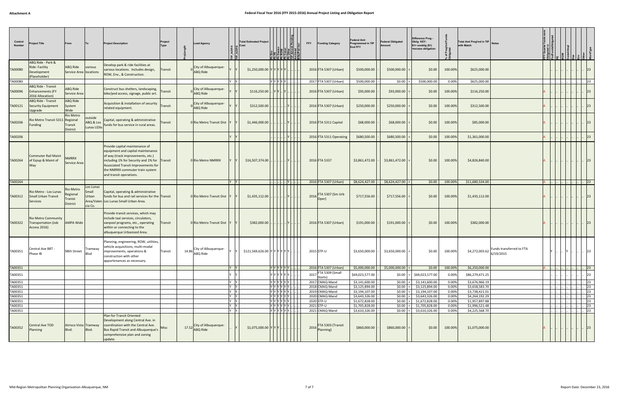| Control<br>Number  | roject Title                                                             | From                                           |                                        | <b>Project Description</b>                                                                                                                                                                                                                                    | Project<br>Type | <b>Lead Agency</b>                      |              | <b>Total Estimated Project</b><br>Cost |                                                                                                                                                                                                                                                                                                                                                                                                                            | <b>ELE ELE ELE ELE</b><br>ELE ELE ELE ELE<br>ELE ELE ELE ELE |             | <b>FFY</b> | <b>Funding Category</b>                              | <b>Federal Amt</b><br>Programmed in TIP<br><b>End FFY</b> | <b>Federal Obligated</b> | Difference Prog<br>Oblig KEY:<br>$$1=$ unoblig $$1)$<br>=excess obligation |                | Total Amt Prog'md in TIP Notes<br>with Match |                          |        |  |                              |  |
|--------------------|--------------------------------------------------------------------------|------------------------------------------------|----------------------------------------|---------------------------------------------------------------------------------------------------------------------------------------------------------------------------------------------------------------------------------------------------------------|-----------------|-----------------------------------------|--------------|----------------------------------------|----------------------------------------------------------------------------------------------------------------------------------------------------------------------------------------------------------------------------------------------------------------------------------------------------------------------------------------------------------------------------------------------------------------------------|--------------------------------------------------------------|-------------|------------|------------------------------------------------------|-----------------------------------------------------------|--------------------------|----------------------------------------------------------------------------|----------------|----------------------------------------------|--------------------------|--------|--|------------------------------|--|
| TA00080            | ABQ Ride - Park &<br>Ride: Facility<br>Development<br>(Placeholder)      | ABQ Ride<br>Service Area locations             | various                                | Develop park & ride facilities at<br>various locations. Includes design,<br>ROW, Env., & Construction.                                                                                                                                                        | Transit         | City of Albuquerque-<br><b>ABQ Ride</b> |              | \$1,250,000.00 Y                       |                                                                                                                                                                                                                                                                                                                                                                                                                            |                                                              |             |            | 2016 FTA 5307 (Urban)                                | \$500,000.00                                              | \$500,000.00             | \$0.00                                                                     | 100.00%        | \$625,000.00                                 |                          |        |  | 23                           |  |
| TA00080            |                                                                          |                                                |                                        |                                                                                                                                                                                                                                                               |                 |                                         |              |                                        | Y Y Y Y Y .                                                                                                                                                                                                                                                                                                                                                                                                                |                                                              |             |            | 2017 FTA 5307 (Urban)                                | \$500,000.00                                              | $ 50.00 $ =              | \$500,000.00                                                               | 0.00%          | \$625,000.00                                 |                          |        |  | 23                           |  |
| TA00096            | ABQ Ride - Transit<br><b>Enhancements (FY</b><br>2016 Allocation)        | ABQ Ride<br>Service Area                       |                                        | Construct bus shelters, landscaping,<br>bike/ped access, signage, public art.                                                                                                                                                                                 | Transit         | City of Albuquerque-<br><b>ABQ Ride</b> |              | \$116,250.00                           |                                                                                                                                                                                                                                                                                                                                                                                                                            |                                                              |             |            | 2016 FTA 5307 (Urban)                                | \$93,000.00                                               | \$93,000.00              | \$0.00                                                                     | 100.00%        | \$116,250.00                                 |                          |        |  | 23                           |  |
| TA00121            | ABQ Ride - Transit<br>Security Equipment<br>Upgrade                      | ABQ Ride<br>System<br>Wide                     |                                        | Acquisition & installation of security<br>related equipment.                                                                                                                                                                                                  | Transit         | City of Albuquerque-<br><b>ABQ Ride</b> |              | \$312,500.00                           |                                                                                                                                                                                                                                                                                                                                                                                                                            |                                                              |             |            | 2016 FTA 5307 (Urban)                                | \$250,000.00                                              | \$250,000.00             | \$0.00                                                                     | 100.00%        | \$312,500.00                                 |                          |        |  |                              |  |
| TA00206            | Rio Metro Transit 5311 Regional<br>Funding                               | <b>Rio Metro</b><br><b>Transit</b><br>District | outside<br>ABQ & Los<br>Lunas UZAs     | Capital, operating & administrative<br>funds for bus service in rural areas.                                                                                                                                                                                  | Transit         | 0 Rio Metro Transit Dist                |              | \$1,446,000.00                         |                                                                                                                                                                                                                                                                                                                                                                                                                            |                                                              |             |            | 2016 FTA 5311 Capital                                | \$68,000.00                                               | \$68,000.00              | \$0.00                                                                     | 100.00%        | \$85,000.00                                  |                          |        |  | 23                           |  |
| TA00206            |                                                                          |                                                |                                        |                                                                                                                                                                                                                                                               |                 |                                         |              |                                        |                                                                                                                                                                                                                                                                                                                                                                                                                            |                                                              |             |            | 2016 FTA 5311 Operating                              | \$680,500.00                                              | \$680,500.00             | \$0.00                                                                     | 100.00%        | \$1,361,000.00                               |                          |        |  | 23                           |  |
| TA00264            | <b>Commuter Rail Maint</b><br>of Eqiup & Maint of<br>Way                 | <b>NMRRX</b><br>Service Area                   |                                        | Provide capital maintenance of<br>equipment and capital maintenance<br>of way (track improvements, etc.)<br>including 1% for Security and 1% for Transit<br>Associated Transit Improvements for<br>the NMRRX commuter train system<br>and transit operations. |                 | 0 Rio Metro NMRRX                       |              | \$16,507,374.00                        |                                                                                                                                                                                                                                                                                                                                                                                                                            |                                                              |             |            | 2016 FTA 5337                                        | \$3,861,472.00                                            | \$3,861,472.00           | \$0.00                                                                     | 100.00%        | \$4,826,840.00                               |                          |        |  | 23                           |  |
| TA00264            |                                                                          |                                                |                                        |                                                                                                                                                                                                                                                               |                 |                                         | IV.<br> Y    |                                        |                                                                                                                                                                                                                                                                                                                                                                                                                            |                                                              | . <u>IY</u> |            | 2016 FTA 5307 (Urban)                                | \$8,624,427.00                                            | $$8,624,427.00$ =        | \$0.00                                                                     | 100.00%        | \$11,680,534.00                              |                          |        |  | 23                           |  |
| TA00312            | Rio Metro - Los Lunas<br><b>Small Urban Transit</b><br><b>Services</b>   | Rio Metro<br>Regional<br>Tranist<br>District   | Los Lunas<br>Small<br>Urban<br>cia Co. | Capital, operating & administrative<br>funds for bus and rail services for the Transit<br>Area/Valen Los Lunas Small Urban Area.                                                                                                                              |                 | 0 Rio Metro Transit Dist                |              | \$1,435,112.00                         |                                                                                                                                                                                                                                                                                                                                                                                                                            |                                                              |             | 2016       | FTA 5307 (Sm Urb<br>Oper                             | \$717,556.00                                              | \$717,556.00             | \$0.00                                                                     | 100.00%        | \$1,435,112.00                               |                          |        |  | $ 23\rangle$                 |  |
| TA00322            | <b>Rio Metro Community</b><br>Transportation (Job<br><b>Access 2016)</b> | <b>AMPA Wide</b>                               |                                        | Provide transit services, which may<br>include taxi services, circulators,<br>vanpool programs, etc., operating<br>within or connecting to the<br>albuquerque Urbanized Area.                                                                                 | Transit         | 0 Rio Metro Transit Dist                |              | \$382,000.00                           |                                                                                                                                                                                                                                                                                                                                                                                                                            |                                                              |             |            | 2016 FTA 5307 (Urban)                                | \$191,000.00                                              | \$191,000.00             | \$0.00                                                                     | 100.00%        | \$382,000.00                                 |                          |        |  | 23                           |  |
| TA00351            | Central Ave BRT -<br>Phase IB                                            | 98th Street                                    | Tramway<br>Blvd                        | Planning, engineering, ROW, utilities,<br>vehicle acquisitions, multi-modal<br>improvements, operations &<br>construction with other<br>appurtenances as necessary.                                                                                           | Transit         | 14.86 City of Albuquerque-<br>ABQ Ride  |              | \$121,569,626.00 YYYYYYY               |                                                                                                                                                                                                                                                                                                                                                                                                                            |                                                              |             |            | 2015 STP-U                                           | \$3,650,000.00                                            | \$3,650,000.00           | \$0.00                                                                     | 100.00%        | $$4,272,003.62$ $ _{6/19/2015}^{0.015}$      | Funds transferred to FTA |        |  |                              |  |
| TA00351            |                                                                          |                                                |                                        |                                                                                                                                                                                                                                                               |                 |                                         | Y            |                                        | Y  Y  Y  Y  Y  V                                                                                                                                                                                                                                                                                                                                                                                                           |                                                              |             |            | 2016 FTA 5307 (Urban)                                | \$5,000,000.00                                            | \$5,000,000.00           | \$0.00                                                                     | 100.00%        | \$6,250,000.00                               |                          | . I I. |  | .  23                        |  |
| TA00351            |                                                                          |                                                |                                        |                                                                                                                                                                                                                                                               |                 |                                         |              |                                        | Y  Y  Y  Y  Y                                                                                                                                                                                                                                                                                                                                                                                                              |                                                              |             |            | $\sqrt{\mathsf{FT}}$ A 5309 (Small<br>$2017$ Starts) | \$69,023,577.00                                           | \$0.00                   | \$69,023,577.00                                                            | 0.00%          | \$86,279,471.25                              |                          |        |  | 23                           |  |
| TA00351            |                                                                          |                                                |                                        |                                                                                                                                                                                                                                                               |                 |                                         | IY IY        |                                        | $Y Y Y Y Y Y $ .                                                                                                                                                                                                                                                                                                                                                                                                           |                                                              |             |            | 2017 CMAQ-Mand                                       | \$3,141,600.00                                            | $ 50.00 $ =              | \$3,141,600.00                                                             | 0.00%          | \$3,676,966.19                               |                          |        |  | 23                           |  |
| TA00351<br>TA00351 |                                                                          |                                                |                                        |                                                                                                                                                                                                                                                               |                 |                                         | Y Y<br>Y Y   |                                        | YYYYYYY.<br>Y[Y Y Y Y Y ].                                                                                                                                                                                                                                                                                                                                                                                                 |                                                              |             |            | 2018 CMAQ-Mand<br>2019 CMAQ-Mand                     | \$3,125,894.00<br>\$3,194,107.00                          | $ 50.00 $ =<br>$$0.00 =$ | \$3,125,894.00<br>\$3,194,107.00                                           | 0.00%<br>0.00% | \$3,658,583.70<br>\$3,738,421.01             |                          |        |  | 23<br>23                     |  |
| TA00351            |                                                                          |                                                |                                        |                                                                                                                                                                                                                                                               |                 |                                         | IY Y         |                                        | $\boxed{\mathbf{y} \mathbf{y} \mathbf{y} \mathbf{y} \mathbf{y} \mathbf{y} \mathbf{y} \mathbf{y} \mathbf{y} \mathbf{y} \mathbf{y} \mathbf{y} \mathbf{y} \mathbf{y} \mathbf{y} \mathbf{y} \mathbf{y} \mathbf{y} \mathbf{y} \mathbf{y} \mathbf{y} \mathbf{y} \mathbf{y} \mathbf{y} \mathbf{y} \mathbf{y} \mathbf{y} \mathbf{y} \mathbf{y} \mathbf{y} \mathbf{y} \mathbf{y} \mathbf{y} \mathbf{y} \mathbf{y} \mathbf{y} \math$ |                                                              |             |            | 2020 CMAQ-Mand                                       | \$3,643,326.00                                            | \$0.00                   | \$3,643,326.00                                                             | 0.00%          | \$4,264,192.29                               |                          |        |  | 23                           |  |
| TA00351            |                                                                          |                                                |                                        |                                                                                                                                                                                                                                                               |                 |                                         | IY Y         |                                        |                                                                                                                                                                                                                                                                                                                                                                                                                            |                                                              |             |            | 2020 STP-U                                           | \$1,672,828.00                                            | \$0.00                   | \$1,672,828.00                                                             | 0.00%          | \$1,957,897.88                               |                          |        |  | 23                           |  |
| TA00351            |                                                                          |                                                |                                        |                                                                                                                                                                                                                                                               |                 |                                         | Y Y<br>IY IY |                                        | $\sqrt{ \mathsf{Y}   \mathsf{Y}   \mathsf{Y}   \mathsf{Y} }$                                                                                                                                                                                                                                                                                                                                                               |                                                              |             |            | 2021 STP-U<br>2021 CMAQ-Mand                         | \$1,705,828.00<br>\$3,610,326.00                          | $$0.00 =$<br>$ 50.00 $ = | \$1,705,828.00<br>\$3,610,326.00                                           | 0.00%<br>0.00% | \$1,996,521.48<br>\$4,225,568.70             |                          |        |  | $ 23\rangle$<br>$ 23\rangle$ |  |
| TA00351<br>TA00352 | Central Ave TOD<br>Planning                                              | Atrisco Vista Tramway<br>Blvd.                 | Blvd.                                  | Plan for Transit Oriented<br>Development along Central Ave. in<br>coordination with the Central Ave.<br>Bus Rapid Transit and Albuquerque's<br>comprehensive plan and zoning<br>update.                                                                       | <b>Misc</b>     | 17.52 City of Albuquerque-<br>ABQ Ride  |              | \$1,075,000.00 Y Y Y                   |                                                                                                                                                                                                                                                                                                                                                                                                                            |                                                              |             |            | FTA 5303 (Transit<br>2016 Planning)                  | \$860,000.00                                              | \$860,000.00             | \$0.00                                                                     | 100.00%        | \$1,075,000.00                               |                          |        |  | 23                           |  |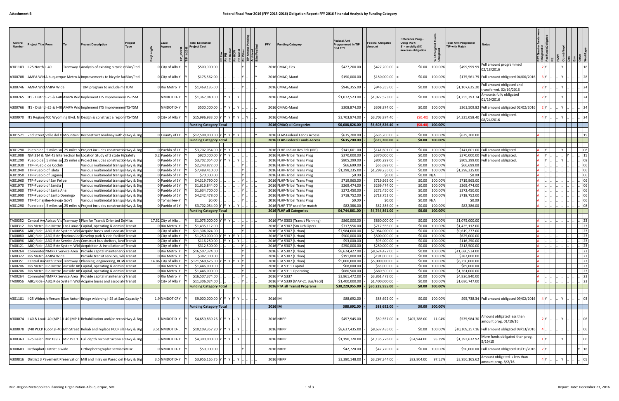| Control<br>Number  | Project Title From          |                                    | To<br>Project Description                                                                                                             | Project<br>Type | ∟ead<br>Agency                             | Total Estimated<br>Project Cost                 | [뵑]큼[ક]토]들] ล | <b>FFY</b><br><b>Funding Category</b>                      | Federal Amt<br>Programmed in TIP<br><b>End FFY</b> | Federal Obligated<br><b>Amount</b>           | Difference Prog -<br>Oblig KEY:<br>\$1= unoblig (\$1)<br>=excess obligation | ၉ မွ<br>৳          | <b>Total Amt Prog'md in</b><br>Notes<br><b>TIP with Match</b>          |  |                                              |
|--------------------|-----------------------------|------------------------------------|---------------------------------------------------------------------------------------------------------------------------------------|-----------------|--------------------------------------------|-------------------------------------------------|---------------|------------------------------------------------------------|----------------------------------------------------|----------------------------------------------|-----------------------------------------------------------------------------|--------------------|------------------------------------------------------------------------|--|----------------------------------------------|
| A301183            | I-25 North I-40             |                                    | Tramway BAnalysis of existing bicycle rBike/Ped                                                                                       |                 | 0 City of AlbuY                            | \$500,000.00                                    |               | 2016 CMAQ-Flex                                             | \$427,200.00                                       | \$427,200.00                                 | \$0.00                                                                      | 100.00%            | Full amount programmed<br>\$499,999.99<br>02/18/2016                   |  |                                              |
| A300708            |                             |                                    | AMPA Wid Albuquerque Metro Almprovements to bicycle facBike/Ped                                                                       |                 | 0 City of Albi ነ                           | \$175,562.00                                    |               | 2016 CMAQ-Mand                                             | \$150,000.00                                       | \$150,000.00                                 | \$0.00                                                                      | 100.00%            | \$175,561.79 Full amount obligated 04/06/2016                          |  |                                              |
| A300746            |                             | AMPA Wid AMPA Wide                 | TDM program to include maTDM                                                                                                          |                 | 0 Rio Metro l'                             | \$1,469,135.00                                  |               | 2016 CMAQ-Mand                                             | \$946,355.00                                       | \$946,355.00                                 | \$0.00                                                                      | 100.00%            | Full amount obligated and<br>\$1,107,625.20<br>transferred. 02/19/2016 |  |                                              |
| 4300765            |                             |                                    | ITS - District-25 & I-40 AMPA Wid Implement ITS Improvement ITS-TSM                                                                   |                 | NMDOT D-Y                                  | \$1,367,040.00                                  |               | 2016 CMAQ-Mand                                             | \$1,072,523.00                                     | \$1,072,523.00                               | \$0.00                                                                      | 100.00%            | Amounts fully obligated<br>\$1,255,293.74<br>01/19/2016                |  |                                              |
| A300766            |                             |                                    | ITS - District-25 & I-40 AMPA Wid Implement ITS Improvement TS-TSM                                                                    |                 | NMDOT D-l'                                 | \$500,000.00                                    |               | 2016 CMAQ-Mand                                             | \$308,874.00                                       | \$308,874.00                                 | \$0.00                                                                      | 100.00%            | \$361,509.82 Full amount obligated 02/02/2016                          |  |                                              |
|                    |                             |                                    | A300970  ITS Region 400 Wyoming Blvd. Ni Design & construct a region ITS-TSM                                                          |                 | ) City of Albı Y                           | \$15,996,933.00                                 |               | 2016 CMAQ-Mand                                             | \$3,703,874.00                                     | \$3,703,874.40                               | (50.40)                                                                     | 100.00%            | Full amount obligated.<br>\$4,335,058.40<br>08/24/2016                 |  |                                              |
|                    |                             |                                    |                                                                                                                                       |                 |                                            | <b>Funding Category Total</b>                   |               | 2016 CMAQ all Categories                                   | \$6,608,826.00                                     | \$6,608,826.40                               | (50.40)                                                                     | 100.00%            |                                                                        |  |                                              |
|                    |                             |                                    | A301521 2nd Street Valle del O Mountain \Reconstruct roadway with dHwy & Brg                                                          |                 | 0 County of IY                             | \$12,500,000.00 Y                               |               | 2016 FLAP-Federal Lands Access                             | \$635,200.00                                       | \$635,200.00                                 | \$0.00                                                                      | 100.00%            | \$635,200.00                                                           |  |                                              |
|                    |                             |                                    |                                                                                                                                       |                 |                                            | <b>Funding Category Total</b>                   |               | 2016 FLAP-Federal Lands Access                             | \$635,200.00                                       | \$635,200.00                                 | \$0.00                                                                      | 100.00%            |                                                                        |  |                                              |
| A301290            |                             |                                    | Pueblo de 1.5 miles sol.25 miles si Project includes constructio Hwy & Brg                                                            |                 | 0 Pueblo of CY                             | \$3,702,054.00                                  |               | 2016 FLHP-Indian Res Rds (IRR)                             | \$141,601.00                                       | \$141,601.00                                 | \$0.00                                                                      | 100.00%            | \$141,601.00 Full amount obligated                                     |  |                                              |
| A301088            |                             |                                    | NM 314 & NM 45 Intersection Im Location Study of 3 state Hil Safety                                                                   |                 | 0.2 Pueblo of IY                           | \$920,000.00                                    |               | 2016 FLHP-Tribal Trans Prog                                | \$370,000.00                                       | \$370,000.00                                 | \$0.00                                                                      | 100.00%            | \$370,000.00 Full amount obligated.                                    |  |                                              |
| A301290            |                             |                                    | Pueblo de 1.5 miles sol.25 miles superior includes construction Hwy & Bra                                                             |                 | 0 Pueblo of CY                             | \$3,702,054.00                                  |               | 2016 FLHP-Tribal Trans Prog                                | \$805,299.00                                       | \$805,299.00                                 | \$0.00                                                                      | 100.00%            | \$805,299.00 Full amount obligated.                                    |  |                                              |
| A301930            |                             | TTP- Pueblo de Cochiti             | Various multimodal transpoHwy & Brg                                                                                                   |                 | 0 Pueblo of CY                             | \$2,243,872.00                                  |               | 2016 FLHP-Tribal Trans Prog                                | \$66,699.00                                        | \$66,699.00                                  | \$0.00                                                                      | 100.00%            | \$66,699.00                                                            |  |                                              |
| A301940<br>A301950 | TTP-Pueblo of Isleta        | TTP-Pueblo of Laguna               | Various multimodal transpoHwy & Bre<br>Various multimodal transpoHwy & Br                                                             |                 | 0 Pueblo of I <sub>Y</sub><br>Pueblo of LY | \$7,489,410.00<br>\$70,000.00                   |               | 2016 FLHP-Tribal Trans Prog<br>2016 FLHP-Tribal Trans Prog | \$1,298,235.00<br>\$0.00                           | \$1,298,235.00<br>\$0.00                     | \$0.00<br>\$0.00                                                            | 100.00%<br>N/A     | \$1,298,235.00<br>\$0.00                                               |  |                                              |
| A301960            |                             | TTP-Pueblo of San Felipe           | Various multimodal transpoHwy & Br                                                                                                    |                 | ) Pueblo of SY                             | \$4,319,790.00                                  |               | 2016 FLHP-Tribal Trans Prog                                | \$719,965.00                                       | \$719,965.00                                 | \$0.00                                                                      | 100.00%            | \$719,965.00                                                           |  |                                              |
| A301970            | <b>TTP-Pueblo of Sandia</b> |                                    | Various multimodal transpoHwy & Brg                                                                                                   |                 | Pueblo of SY                               | \$1,616,844.00                                  |               | 2016 FLHP-Tribal Trans Prog                                | \$269,474.00                                       | \$269,474.00                                 | \$0.00                                                                      | 100.00%            | \$269,474.00                                                           |  |                                              |
| A301980            |                             | TTP-Pueblo of Santa Ana            | Various multimodal transpoHwy & Bre                                                                                                   |                 | Pueblo of SY                               | \$1,634,700.00                                  |               | 2016 FLHP-Tribal Trans Prog                                | \$272,450.00                                       | \$272,450.00                                 | \$0.00                                                                      | 100.00%            | \$272,450.00                                                           |  |                                              |
| A301990            |                             | <b>TTP-Pueblo of Santo Domingo</b> | Various multimodal transpoHwy & Brg                                                                                                   |                 | 0 Pueblo of SY                             | \$4,242,478.00                                  |               | 2016 FLHP-Tribal Trans Prog                                | \$718,752.00                                       | \$718,752.00                                 | \$0.00                                                                      | 100.00%            | \$718,752.00                                                           |  |                                              |
| 4302000            |                             | TTP-To'hajiilee-Navajo Gov't       | Various multimodal transpoHwy & Brg                                                                                                   |                 | 0To'hajiilee-Y                             | \$0.00                                          |               | 2016 FLHP-Tribal Trans Prog                                | \$0.00                                             | \$0.00                                       | \$0.00 N/A                                                                  |                    | \$0.00                                                                 |  |                                              |
| A301290            |                             |                                    | Pueblo de .5 miles sol.25 miles si Project includes constructio Hwy & Brg                                                             |                 | Pueblo of CY                               | \$3,702,054.00 Y Y                              |               | 2016 FLHP-TTP used for match                               | \$82,386.00                                        | \$82,386.00                                  | \$0.00                                                                      | 100.00%            | \$82,386.00                                                            |  |                                              |
|                    |                             |                                    |                                                                                                                                       |                 |                                            | <b>Funding Category Total</b>                   |               | 2016 FLHP all Categories                                   | \$4,744,861.00                                     | \$4,744,861.00                               | \$0.00                                                                      | 100.00%            |                                                                        |  |                                              |
| FA00352            |                             |                                    | Central Avi Atrisco Vist Tramway BPlan for Transit Oriented DeMisc                                                                    |                 | 17.52 City of Albu                         | \$1,075,000.00                                  |               | 2016 FTA 5303 (Transit Planning)                           | \$860,000.00                                       | \$860,000.00                                 | \$0.00                                                                      | 100.00%            | \$1,075,000.00                                                         |  |                                              |
| TA00312            | Rio Metro                   |                                    | Rio Metro Los Lunas SCapital, operating & admini Transit                                                                              |                 | Rio Metro                                  | \$1,435,112.00                                  |               | 2016 FTA 5307 (Sm Urb Oper)                                | \$717,556.00                                       | \$717,556.00                                 | \$0.00                                                                      | 100.00%            | \$1,435,112.00                                                         |  |                                              |
| FA00056            |                             |                                    | ABQ Ride - ABQ Ride System Wid Acquire buses and associate Transit                                                                    |                 | City of AlbuY                              | \$11,306,024.00                                 |               | 2016 FTA 5307 (Urban)                                      | \$7,984,000.00                                     | \$7,984,000.00                               | \$0.00                                                                      | 100.00%            | \$9,619,277.00                                                         |  |                                              |
| A00080             |                             |                                    | ABQ Ride - ABQ Ride Svarious loc Develop park & ride facilitie Transit                                                                |                 | City of AlbuY                              | \$1,250,000.00                                  |               | 2016 FTA 5307 (Urban)                                      | \$500,000.00                                       | \$500,000.00                                 | \$0.00                                                                      | 100.00%            | \$625,000.00                                                           |  |                                              |
| TA00096            |                             |                                    | ABQ Ride - ABQ Ride Service Area Construct bus shelters, land Transit                                                                 |                 | City of AlbuY                              | \$116,250.00<br>\$312,500.00                    |               | 2016 FTA 5307 (Urban)                                      | \$93,000.00                                        | \$93,000.00                                  | \$0.00                                                                      | 100.00%            | \$116,250.00                                                           |  |                                              |
| FA00121<br>FA00264 | ABQ Ride -                  |                                    | ABQ Ride System Wid Acquisition & installation of Transit<br>Commuter NMRRX Service Area Provide capital maintenance Transit          |                 | City of AlbuY<br>Rio Metro Y               | \$16,507,374.00                                 |               | 2016 FTA 5307 (Urban<br>2016 FTA 5307 (Urban)              | \$250,000.00<br>\$8,624,427.00                     | \$250,000.00<br>\$8,624,427.00               | \$0.00<br>\$0.00                                                            | 100.00%<br>100.00% | \$312,500.00<br>\$11,680,534.00                                        |  |                                              |
|                    |                             | TA00322 Rio Metro AMPA Wide        | Provide transit services, whiTransit                                                                                                  |                 | 0 Rio Metro IY<br><b>IY</b>                | \$382,000.00                                    |               | 2016 FTA 5307 (Urban)                                      | \$191,000.00                                       | \$191,000.00                                 | \$0.00                                                                      | 100.00%            | \$382,000.00                                                           |  | 23                                           |
| TA00351            |                             |                                    | Central Av 98th Street Tramway B Planning, engineering, ROW Transit                                                                   |                 | 14.86 City of AlbuY                        | $\frac{1}{2}$ \$121,569,626.00 Y Y Y Y Y Y Y I. |               | 2016 FTA 5307 (Urban)                                      | \$5,000,000.00                                     | \$5,000,000.00                               | \$0.00                                                                      | 100.00%            | \$6,250,000.00                                                         |  | 23                                           |
|                    |                             |                                    | TA00206 Rio Metro Rio Metro outside AB Capital, operating & adminil Transit                                                           |                 | Rio Metro IY                               | \$1,446,000.00                                  |               | 2016 FTA 5311 Capital                                      | \$68,000.00                                        | \$68,000.00                                  | \$0.00                                                                      | 100.00%            | \$85,000.00                                                            |  | $\begin{array}{ c c } \hline 23 \end{array}$ |
| FA00206            |                             |                                    | Rio Metro Rio Metro outside AB Capital, operating & admini Transit                                                                    |                 | ) Rio Metro IY   Y                         | \$1,446,000.00                                  |               | 2016 FTA 5311 Operating                                    | \$680,500.00                                       | \$680,500.00                                 | \$0.00                                                                      | 100.00%            | \$1,361,000.00                                                         |  | 23                                           |
| TA00264<br>FA00056 |                             |                                    | Commuter NMRRX Service Area Provide capital maintenance Transit<br>ABQ Ride - ABQ Ride System Wid Acquire buses and associate Transit |                 | Rio Metro Y<br>OCity of AlbuY Y            | \$16,507,374.00<br>\$11,306,024.00              |               | 2016 FTA 5337<br>2016 FTA 5339 (MAP-21 Bus/Facil)          | \$3,861,472.00<br>\$1,400,000.00                   | $\overline{$}3,861,472.00$<br>\$1,400,000.00 | \$0.00<br>\$0.00                                                            | 100.00%<br>100.00% | \$4,826,840.00<br>\$1,686,747.00                                       |  | 23<br>23                                     |
|                    |                             |                                    |                                                                                                                                       |                 |                                            | <b>Funding Category Total</b>                   |               | 2016 FTA all Transit Programs                              | \$30,229,955.00                                    | \$30,229,955.00                              | \$0.00                                                                      | 100.00%            |                                                                        |  |                                              |
|                    |                             |                                    |                                                                                                                                       |                 |                                            |                                                 |               |                                                            |                                                    |                                              |                                                                             |                    |                                                                        |  |                                              |
| A301181            |                             |                                    | I-25 Widen Jefferson SSan Antoni Bridge widening I-25 at San Capacity Pr                                                              |                 | 1.9 NMDOT CFY                              | \$9,000,000.00                                  |               | 2016 IM                                                    | \$88,692.00                                        | \$88,692.00                                  | \$0.00                                                                      | 100.00%            | \$95,738.34 Full amount obligated 09/02/2016                           |  |                                              |
|                    |                             |                                    |                                                                                                                                       |                 |                                            | <b>Funding Category Total</b>                   |               | 2016 IM                                                    | \$88,692.00                                        | \$88,692.00                                  | \$0.00                                                                      | 100.00%            |                                                                        |  |                                              |
|                    |                             |                                    |                                                                                                                                       |                 |                                            |                                                 |               |                                                            |                                                    |                                              |                                                                             |                    |                                                                        |  |                                              |
| 4300074            |                             |                                    | I-40 & Louil-40 (MP 11-40 (MP 11 Rehabilitation and/or recon Hwy & Brg                                                                |                 | NMDOT D-Y                                  | \$4,659,839.26                                  |               | 2016 NHPP                                                  | \$457,945.00                                       | \$50,557.00                                  | \$407,388.00                                                                | 11.04%             | Amount obligated less than<br>\$535,984.30<br>amount prog. 01/19/16    |  |                                              |
| A300078            |                             |                                    | 1/40 PCCP Coor /I-40 6th Street Rehab and replace PCCP sla Hwy & Brg                                                                  |                 | 3.51 NMDOT D-                              | \$10,109,357.20                                 |               | <b>2016 NHPP</b>                                           | \$8,637,435.00                                     | \$8,637,435.00                               | \$0.00                                                                      | 100.00%            | \$10,109,357.16 Full amount obligated 09/13/2016                       |  |                                              |
| A300363            |                             |                                    | I-25 Belen MP 189.7 MP 193.1 Full depth reconstruction an Hwy & Brg                                                                   |                 | 3 NMDOT D-Y                                | \$4,300,000.00                                  |               | <b>2016 NHPP</b>                                           | \$1,190,720.00                                     | \$1,135,776.00                               | \$54,944.00                                                                 | 95.39%             | More funds obligated than prog.<br>\$1,393,632.92<br>5/19/15           |  | 06                                           |
|                    |                             | 4300603 Orthophot District 3 wide  | Orthophotographic services Misc                                                                                                       |                 | 0 NMDOT D-Y                                | \$50,000.00                                     |               | 2016 NHPP                                                  | \$42,720.00                                        | \$42,720.00                                  | \$0.00                                                                      | 100.00%            | \$50,000.00 Full amount obligated 03/31/2016                           |  |                                              |
|                    |                             |                                    | A300816   District 3 Pavement Preservation Mill and Inlay on Paseo del Hwy & Brg                                                      |                 | 3.5 NMDOT D-Y                              | \$3,956,165.75                                  |               | <b>2016 NHPP</b>                                           | \$3,380,148.00                                     | \$3,297,344.00                               | \$82,804.00                                                                 | 97.55%             | Amount obligated is less than<br>\$3,956,165.62<br>amount prog. 8/2/16 |  |                                              |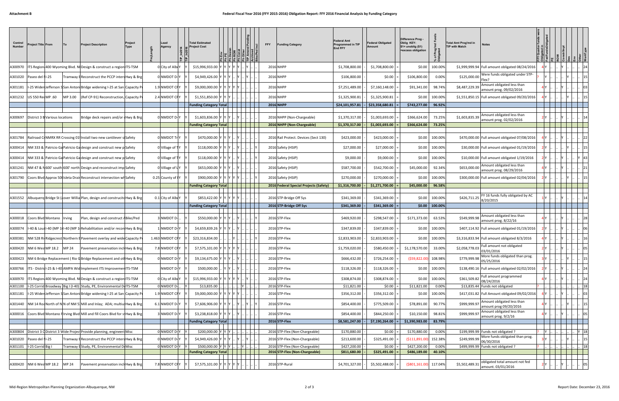| Control<br>Number         | <b>Project Title From</b> |                                | Project<br><b>Project Description</b><br> To<br>Type                                                                                              | Lead<br>Agency             | <b>Total Estimated</b><br>roject Cost |          | 된 일 달 일 길 일 길 | <b>FFY</b> | <b>Funding Categor</b>                 | Federal Amt<br>Programmed in TIP<br><b>End FFY</b> | <b>Federal Obligated</b><br>Amount | Difference Prog -<br>Oblig KEY:<br>\$1= unoblig (\$1)<br>=excess obligation | ਨੂੰ ਨੂੰ<br>৳      | <b>Total Amt Prog'md in</b><br>Notes<br><b>TIP with Match</b>                         |           |  |      |
|---------------------------|---------------------------|--------------------------------|---------------------------------------------------------------------------------------------------------------------------------------------------|----------------------------|---------------------------------------|----------|---------------|------------|----------------------------------------|----------------------------------------------------|------------------------------------|-----------------------------------------------------------------------------|-------------------|---------------------------------------------------------------------------------------|-----------|--|------|
| 4300970                   |                           |                                | ITS Region 400 Wyoming Blvd. Ni Design & construct a region ITS-TSM                                                                               | O City of Albu             | \$15,996,933.00                       |          |               |            | 2016 NHPP                              | \$1,708,800.00                                     | \$1,708,800.00                     | \$0.00                                                                      | 100.009           | \$1,999,999.94 Full amount obligated 08/24/2016                                       |           |  |      |
| 4301020                   | Paseo del 11-25           |                                | Tramway BReconstruct the PCCP inters Hwy & Brg                                                                                                    | 0 NMDOT D                  | \$4,949,426.00                        |          |               | 2016 NHPP  |                                        | \$106,800.00                                       | \$0.00                             | \$106,800.00                                                                | 0.00%             | Were funds obligated under STP-<br>\$125,000.00<br>Flex?                              |           |  |      |
| A301181                   |                           |                                | -25 WidenJefferson SSan Antoni Bridge widening I-25 at San Capacity F                                                                             | 1.9 NMDOT CF               | \$9,000,000.00                        |          |               | 2016 NHPP  |                                        | \$7,251,489.00                                     | \$7,160,148.00                     | \$91,341.00                                                                 | 98.74%            | Amount obligated less than<br>\$8,487,229.39<br>amount prog. 09/02/2016               |           |  |      |
| 4301232                   | US 550 RecMP .60          |                                | (Ref CP-91) Reconstruction, Capacity F<br>MP 3.00                                                                                                 | 2.4 NMDOT CF               | \$1,551,850.00                        |          |               | 2016 NHPP  |                                        | \$1,325,900.81                                     | \$1,325,900.81                     | \$0.00                                                                      | 100.009           | \$1,551,850.15   Full amount obligated 09/20/2016                                     |           |  |      |
|                           |                           |                                |                                                                                                                                                   |                            | <b>Funding Category Total</b>         |          |               |            | 2016 NHPP                              | \$24,101,957.81                                    | \$23,358,680.81                    | \$743,277.00                                                                | 96.92%            |                                                                                       |           |  |      |
| 4300697                   |                           | District 3 B Various locations | Bridge deck repairs and/or (Hwy & Brg                                                                                                             | 0 NMDOT D-                 | \$1,603,836.00                        |          |               |            | 2016 NHPP (Non-Chargeable)             | \$1,370,317.00                                     | \$1,003,693.00                     | \$366,624.00                                                                | 73.25%            | Amount obligated less than<br>\$1,603,835.39<br>amount prog. 02/02/2016               |           |  |      |
|                           |                           |                                |                                                                                                                                                   |                            | <b>Funding Category Total</b>         |          |               |            | 2016 NHPP (Non-Chargeable)             | \$1,370,317.00                                     | \$1,003,693.00                     | \$366,624.00                                                                | 73.25%            |                                                                                       |           |  |      |
| 4301784                   |                           |                                | Railroad Cr NMRX RR Crossing 01 Install two new cantilever si Safety                                                                              | 0 NMDOT 1                  | \$470,000.00                          |          |               |            | 2016 Rail Protect. Devices (Sect 130)  | \$423,000.00                                       | \$423,000.00                       | \$0.00                                                                      | 100.00%           | \$470,000.00 Full amount obligated 07/08/2016                                         |           |  |      |
| 4300414                   |                           |                                | NM 333 & Patricio Ga Patricio Galdesign and construct new pl Safety                                                                               | 0 Village of               | \$118,000.00                          |          |               |            | 2016 Safety (HSIP)                     | \$27,000.00                                        | \$27,000.00                        | \$0.00                                                                      | 100.00%           | \$30,000.00 Full amount obligated 01/19/2016                                          |           |  |      |
| 4300414                   |                           |                                | NM 333 & Patricio Ga Patricio Ga design and construct new p Safety                                                                                | 0 Village of T             | \$118,000.00                          |          |               |            | 2016 Safety (HSIP)                     | \$9,000.00                                         | \$9,000.00                         | \$0.00                                                                      | 100.009           | \$10,000.00 Full amount obligated 1/19/2016                                           |           |  |      |
| 4301241                   |                           |                                | NM 47 & N600' south 600' north Design and reconstruct imp Safety                                                                                  | 0 Village of I             | \$653,000.00                          |          |               |            | 2016 Safety (HSIP)                     | \$587,700.00                                       | \$542,700.00                       | \$45,000.00                                                                 | 92.34%            | Amount obligated less than<br>\$653,000.00<br>amount prog. 08/29/2016                 |           |  |      |
| 4301790                   |                           |                                | Coors Blvd Approx 50 (Isleta Drain Reconstruct intersection wh Safety                                                                             | 0.25 County of I           | \$900,000.00                          |          |               |            | 2016 Safety (HSIP)                     | \$270,000.00                                       | \$270,000.00                       | \$0.00                                                                      | 100.00%           | \$300,000.00 Full amount obligated 02/04/2016                                         |           |  |      |
|                           |                           |                                |                                                                                                                                                   |                            | <b>Funding Category Total</b>         |          |               |            | 2016 Federal Special Projects (Safety) | \$1,316,700.00                                     | \$1,271,700.00                     | \$45,000.00                                                                 | 96.58%            |                                                                                       |           |  |      |
| A301552                   |                           |                                | Albuquerq Bridge St (Jover Willia Plan, design and construcitd Hwy & Brg                                                                          | 0.1 City of Albu           | \$853,422.00                          |          |               |            | 2016 STP-Bridge Off Sys                | \$341,369.00                                       | \$341,369.00                       | \$0.00                                                                      | 100.009           | FY 16 funds fully obligated by AC<br>\$426,711.25                                     |           |  |      |
|                           |                           |                                |                                                                                                                                                   |                            | <b>Funding Category Total</b>         |          |               |            | 2016 STP-Bridge Off Sys                | \$341,369.00                                       | \$341,369.00                       | \$0.00                                                                      | 100.00%           | 8/20/2015                                                                             |           |  |      |
|                           |                           |                                |                                                                                                                                                   |                            |                                       |          |               |            |                                        |                                                    |                                    |                                                                             |                   | Amount obligated less than                                                            |           |  |      |
| 4300018<br>A300074        |                           | Coors Blvd Montano Irving      | Plan, design and construct ABike/Ped<br>-40 & Louil-40 (MP 11-40 (MP 11 Rehabilitation and/or recon Hwy & Brg                                     | 3 NMDOT D<br>INMDOT D      | \$550,000.00<br>\$4,659,839.26        |          |               |            | 2016 STP-Flex<br>2016 STP-Flex         | \$469,920.00<br>\$347,839.00                       | \$298,547.00<br>\$347,839.00       | \$171,373.00<br>\$0.00                                                      | 63.53%<br>100.00% | \$549,999.98<br>amount prog. 8/22/16<br>\$407,114.92 Full amount obligated 01/19/2016 |           |  |      |
| 4300381                   |                           |                                |                                                                                                                                                   | 1.463 NMDOT CF             |                                       |          |               |            | 2016 STP-Flex                          | \$2,833,903.00                                     | \$2,833,903.00                     | \$0.00                                                                      |                   | \$3,316,833.94 Full amount obligated 8/3/2016                                         |           |  |      |
| 4300420                   | NM 6 West MP 18.2         |                                | IM 528 Ri Ridgecrest Northern BPavement overlay and wide Capacity I<br><b>IMP 24</b><br>Pavement preservation incliHwy & Brg                      | 7.8 NMDOT CF               | \$23,316,834.00<br>\$7,575,101.00     |          |               |            | 2016 STP-Flex                          | \$1,759,020.00                                     | \$580,450.00                       | \$1,178,570.00                                                              | 100.009<br>33.00% | Full amount not obligated<br>\$2,058,778.03                                           |           |  |      |
|                           |                           |                                |                                                                                                                                                   |                            |                                       |          |               |            | 2016 STP-Flex                          |                                                    |                                    | (\$59,822.00                                                                |                   | 03/01/2016<br>More funds obligated than prog.                                         |           |  |      |
|                           |                           |                                | A300423 NM 6 Bridge Replacement (Rio G Bridge Replacement and ot Hwy & Brg<br>ITS - Distrid - 25 & I-40 AMPA Wid Implement ITS Improvemen ITS-TSM | 0 NMDOT D-<br>NMDOT D-     | \$9,134,675.00 Y Y Y                  |          |               |            | 2016 STP-Flex                          | \$666,432.00                                       | \$726,254.00<br>\$118,326.00       |                                                                             | 108.98%           | \$779,999.98<br>05/25/2016<br>\$138,490.16 Full amount obligated 02/02/2016           |           |  |      |
| 4300766                   |                           |                                |                                                                                                                                                   |                            | \$500,000.00                          |          |               |            |                                        | \$118,326.00                                       |                                    | \$0.00                                                                      | 100.00%           | Full amount programmed                                                                |           |  |      |
| 4300970<br>A301100        |                           |                                | ITS Region: 400 Wyoming Blvd. Ni Design & construct a region ITS-TSM<br>I-25 Corrid Broadway Big I (I-40) Study, PE, Environmental DOITS-TSM      | 0 City of Alb<br>0 NMDOT D | \$15,996,933.00<br>$$13,835.00$ .     |          | $\mathbf{Y}$  |            | 2016 STP-Flex<br>2016 STP-Flex         | \$308,874.00<br>\$11,821.00                        | \$308,874.00<br>$$0.00$ =          | \$0.00<br>\$11,821.00                                                       | 100.00%<br>0.00%  | \$361,509.82<br>08/24/2016<br>\$13,835.44 Funds not obligated                         |           |  | 18   |
| A301181                   |                           |                                | I-25 Widen Jefferson S San Antoni Bridge widening I-25 at San Capacity F                                                                          | 1.9 NMDOT CF               | \$9,000,000.00                        |          |               |            | 2016 STP-Flex                          | \$356,312.00                                       | \$356,312.00                       | \$0.00                                                                      | 100.00%           | \$417,031.82 Full Amount obligated 09/02/2016                                         |           |  |      |
| 4301440                   |                           |                                | NM 14 Roa North of N N of NM 51 Mill and Inlay; ADA; multius Hwy & Brg                                                                            | 6.1 NMDOT D-               | \$7,606,906.00                        |          |               |            | 2016 STP-Flex                          | \$854,400.00                                       | \$775,509.00                       | \$78,891.00                                                                 | 90.77%            | Amount obligated less than<br>\$999,999.97<br>amount prog 09/20/2016                  |           |  |      |
| 4300016                   |                           |                                | Coors Blvd Montano Hirving Blvd Mill and fill Coors Blvd for s Hwy & Brg                                                                          | 3 NMDOT D-                 | \$3,238,818.00 Y                      |          |               |            | 2016 STP-Flex                          | \$854,400.00                                       | \$844,250.00                       | \$10,150.00                                                                 | 98.81%            | Amount obligated less than<br>\$999,999.97<br>amount prog. 9/2/16                     |           |  |      |
|                           |                           |                                |                                                                                                                                                   |                            | <b>Funding Category Total</b>         |          |               |            | 2016 STP-Flex                          | \$8,581,247.00                                     | \$7,190,264.00                     | \$1,390,983.00                                                              | 83.79%            |                                                                                       |           |  |      |
| A300804                   |                           |                                | District 3 O District 3 Wide Project Provide planning, engineerit Misc                                                                            | 0 NMDOT D                  | \$200,000.00 Y Y Y                    |          |               |            | 2016 STP-Flex (Non-Chargeable)         | \$170,880.00                                       | \$0.00                             | \$170,880.00                                                                | 0.00%             | \$199,999.99 Funds not obligated ?                                                    | <b>IY</b> |  | Y 18 |
| A301020                   | Paseo del 11-25           |                                | Tramway BReconstruct the PCCP inters Hwy & Brg                                                                                                    | 0 NMDOT D-                 | \$4,949,426.00                        |          |               |            | 2016 STP-Flex (Non-Chargeable)         | \$213,600.00                                       | \$325,491.00                       | ( \$111, 891.00                                                             | 152.38%           | More funds obligated than prog.<br>\$249,999.99<br>06/30/2016                         |           |  |      |
| A301101  -25 Corrid Big I |                           |                                | Tramway BStudy, PE, Environmental DoMisc                                                                                                          | 0 NMDOT D                  | \$500,000.00 Y Y Y Y.                 | . I IY I |               |            | 2016 STP-Flex (Non-Chargeable)         | \$427,200.00                                       | \$0.00                             | \$427,200.00                                                                | 0.00%             | \$499,999.99 Funds not obligated ?                                                    |           |  | 18   |
|                           |                           |                                |                                                                                                                                                   |                            | <b>Funding Category Total</b>         |          |               |            | 2016 STP-Flex (Non-Chargeable)         | \$811,680.00                                       | \$325,491.00                       | \$486,189.00                                                                | 40.10%            |                                                                                       |           |  |      |
|                           | 4300420 NM 6 West MP 18.2 |                                | <b>MP 24</b><br>avement preservation inclil Hwy & Brg                                                                                             | 7.8 NMDOT CF               | \$7,575,101.00 Y                      |          |               |            | 2016 STP-Rural                         | \$4,701,327.00                                     | \$5,502,488.00                     | (\$801,161.00                                                               | 117.04%           | obligated total amount not fed<br>\$5,502,489.31<br>amount. 03/01/2016                |           |  |      |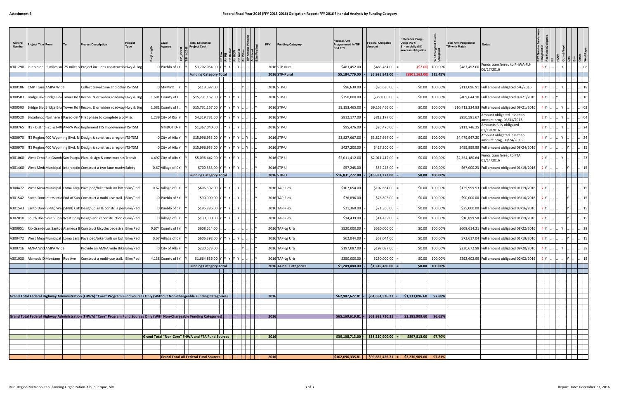| Control<br><b>Number</b> | <b>Project Title From</b> |                            | Project<br>To<br><b>Project Description</b><br><b>Type</b>                                                                     | Lead<br>Agency     | <b>Total Estimated</b><br>roject Cost            |  | <b>FFY</b> | Federal Amt<br>Programmed in TIP<br><b>Funding Category</b><br><b>End FFY</b> | Federal Obligated<br>Amount                                        | Difference Prog -<br>Oblig KEY:<br>$$1$ = unoblig $$1)$<br>=excess obligation | ೯ ಕ<br>৳        | <b>Total Amt Prog'md in</b><br>Notes<br><b>TIP with Match</b>           |  |  |  |
|--------------------------|---------------------------|----------------------------|--------------------------------------------------------------------------------------------------------------------------------|--------------------|--------------------------------------------------|--|------------|-------------------------------------------------------------------------------|--------------------------------------------------------------------|-------------------------------------------------------------------------------|-----------------|-------------------------------------------------------------------------|--|--|--|
| A301290                  |                           |                            | Pueblo de 1.5 miles sol.25 miles si Project includes constructio Hwy & Brg                                                     | 0 Pueblo of        | \$3,702,054.00                                   |  |            | 2016 STP-Rural<br>\$483,452.00                                                | \$483,454.00                                                       | (52.00)                                                                       | 100.00%         | Funds transferred to FHWA-FLH<br>\$483,452.00<br>06/17/2016             |  |  |  |
|                          |                           |                            |                                                                                                                                |                    | <b>Funding Category Total</b>                    |  |            | 2016 STP-Rural<br>\$5,184,779.00                                              | \$5,985,942.00                                                     | (\$801.163.00                                                                 | 115.45%         |                                                                         |  |  |  |
| 4300186                  |                           | <b>CMP Trans AMPA Wide</b> | Collect travel time and othe ITS-TSM                                                                                           | 0 MRMPO            | \$113,097.00                                     |  |            | 2016 STP-U<br>\$96,630.00                                                     | \$96,630.00                                                        | \$0.00                                                                        | 100.00%         | \$113,096.91   Full amount obligated 5/6/2016                           |  |  |  |
| A300503                  |                           |                            | Bridge Blvd Bridge Blvd Tower Rd fiRecon. & or widen roadway Hwy & Brg                                                         | 1.681 County of    | \$15,731,157.00                                  |  |            | 2016 STP-U<br>\$350,000.00                                                    | \$350,000.00                                                       | \$0.00                                                                        | 100.00%         | \$409,644.18 Full amount obligated 09/21/2016                           |  |  |  |
| 4300503                  |                           |                            | Bridge Blvd Bridge Blvd Tower Rd fiRecon. & or widen roadway Hwy & Brg                                                         | 1.681 County of    | \$15,731,157.00                                  |  |            | 2016 STP-U<br>\$9,153,465.00                                                  | \$9,153,465.00                                                     | \$0.00                                                                        | 100.009         | \$10,713,324.83 Full amount obligated 09/21/2016                        |  |  |  |
| 4300520                  |                           |                            | Broadmool Northern BPaseo del VFirst phase to complete a coMisc                                                                | 1.239 City of Rio  | \$4,319,731.00                                   |  |            | 2016 STP-U<br>\$812,177.00                                                    | \$812,177.00                                                       | \$0.00                                                                        | 100.00%         | Amount obligated less than<br>\$950,581.67<br>amount prog. 03/31/2016   |  |  |  |
| A300765                  |                           |                            | ITS - DistridI-25 & I-40 AMPA Wid Implement ITS ImprovemenITS-TSM                                                              | NMDOT D-           | \$1,367,040.00                                   |  |            | 2016 STP-U<br>\$95,476.00                                                     | \$95,476.00                                                        | \$0.00                                                                        | 100.00%         | Amounts fully obligated<br>\$111,746.25<br>01/19/2016                   |  |  |  |
| 4300970                  |                           |                            | ITS Region: 400 Wyoming Blvd. NI Design & construct a region ITS-TSM                                                           | 0 City of Alb      | \$15,996,933.00                                  |  |            | 2016 STP-U<br>\$3,827,667.00                                                  | \$3,827,667.00                                                     | \$0.00                                                                        | 100.009         | Amount obligated less than<br>\$4,479,947.20<br>amount prog. 08/24/2016 |  |  |  |
| A300970                  |                           |                            | ITS Region: 400 Wyoming Blvd. NI Design & construct a region ITS-TSM                                                           | 0 City of Albu     | \$15,996,933.00                                  |  |            | 2016 STP-U<br>\$427,200.00                                                    | \$427,200.00                                                       | \$0.00                                                                        | 100.00%         | \$499,999.99 Full amount obligated 08/24/2016                           |  |  |  |
| 4301060                  |                           |                            | West Centi Rio Grande San Pasqua Plan, design & construct stri Transit                                                         | 4.497 City of Albu | \$5,096,442.00                                   |  |            | 2016 STP-U<br>\$2,011,412.00                                                  | \$2,011,412.00                                                     | \$0.00                                                                        | 100.009         | Funds transferred to FTA<br>\$2,354,180.64<br>01/14/2016                |  |  |  |
| 4301460                  |                           |                            | West Medi Municipal Intersectio Construct a two-lane roadw Safety                                                              | 0.67 Village of CY | \$700,333.00                                     |  |            | 2016 STP-U<br>\$57,245.00                                                     | \$57,245.00                                                        | \$0.00                                                                        | 100.00%         | \$67,000.23 Full amount obligated 01/19/2016                            |  |  |  |
|                          |                           |                            |                                                                                                                                |                    | <b>Funding Category Total</b>                    |  |            | 2016 STP-U<br>\$16,831,272.00                                                 | -   \$16,831,272.00   =                                            | \$0.00                                                                        | 100.00%         |                                                                         |  |  |  |
| 4300472                  |                           |                            | West Meat Municipal Loma LargaPave ped/bike trails on bothBike/Ped                                                             | 0.67 Village of CY | \$606,392.00                                     |  |            | 2016 TAP-Flex<br>\$107,654.00                                                 | \$107,654.00                                                       | \$0.00                                                                        | 100.009         | \$125,999.53 Full amount obligated 01/19/2016                           |  |  |  |
| A301542                  |                           |                            | Santo Dom Intersectio End of Sant Construct a multi-use trail. (Bike/Ped                                                       | 0 Pueblo of        | \$90,000.00                                      |  |            | 2016 TAP-Flex<br>\$76,896.00                                                  | \$76,896.00                                                        | \$0.00                                                                        | 100.00%         | \$90,000.00 Full amount obligated 03/16/2016                            |  |  |  |
| A301543                  |                           |                            | Santo Dom (SP88) Wes (SP88) Catt Design, plan & constr. a ped Bike/Ped                                                         | 0 Pueblo of SY     | \$195,886.00                                     |  |            | \$21,360.00<br>2016 TAP-Flex                                                  | \$21,360.00                                                        | \$0.00                                                                        | 100.00%         | \$25,000.00 Full amount obligated 03/16/2016                            |  |  |  |
| 4302010                  |                           |                            | South Bosd South Bosd West Bosg Design and reconstruction d Bike/Ped                                                           | O Village of BY    | \$130,000.00                                     |  |            | \$14,439.00<br>2016 TAP-Flex                                                  | \$14,439.00                                                        | \$0.00                                                                        | 100.00%         | \$16,899.58 Full amount obligated 01/19/2016                            |  |  |  |
| A300051                  |                           |                            | Rio Grande Los Santos Alameda B Construct bicycle/pedestrai Bike/Ped                                                           | 0.674 County of IN | \$608,614.00                                     |  |            | 2016 TAP-Lg Urb<br>\$520,000.00                                               | \$520,000.00                                                       | \$0.00                                                                        | 100.00%         | \$608,614.21 Full amount obligated 08/22/2016                           |  |  |  |
| 4300472                  |                           |                            | West Mead Municipal I Loma Larga Pave ped/bike trails on both Bike/Ped                                                         | 0.67 Village of CY | \$606,392.00                                     |  |            | 2016 TAP-Lg Urb<br>\$62,044.00                                                | \$62,044.00                                                        | \$0.00                                                                        | 100.00%         | \$72,617.04 Full amount obligated 01/19/2016                            |  |  |  |
| 4300716                  |                           | AMPA Wid AMPA Wide         | Provide an AMPA wide Bike Bike/Ped                                                                                             | O City of Albu     | \$230,673.00                                     |  |            | 2016 TAP-Lg Urb<br>\$197,087.00                                               | \$197,087.00                                                       | \$0.00                                                                        | 100.00%         | \$230,672.98 Full amount obligated 09/20/2016                           |  |  |  |
|                          |                           |                            | A301030 Alameda D Montano Roy Ave Construct a multi-use trail. Bike/Ped                                                        | 4.138 County of IY | \$1,664,836.00 Y Y Y Y Y Y .                     |  |            | 2016 TAP-Lg Urb<br>\$250,000.00                                               | $$250,000.00$ =                                                    | \$0.00                                                                        | 100.00%         | \$292,602.99 Full amount obligated 02/02/2016                           |  |  |  |
|                          |                           |                            |                                                                                                                                |                    | <b>Funding Category Total</b>                    |  |            | 2016 TAP all Categories<br>\$1,249,480.00                                     | $51,249,480.00$ =                                                  |                                                                               | $$0.00$ 100.00% |                                                                         |  |  |  |
|                          |                           |                            |                                                                                                                                |                    |                                                  |  |            |                                                                               |                                                                    |                                                                               |                 |                                                                         |  |  |  |
|                          |                           |                            |                                                                                                                                |                    |                                                  |  |            |                                                                               |                                                                    |                                                                               |                 |                                                                         |  |  |  |
|                          |                           |                            | Grand Total Federal Highway Administration (FHWA) "Core" Program Fund Sources Only (Without Non-Chargeable Funding Categories) |                    |                                                  |  | 2016       |                                                                               | $$62,987,622.81$ - $$61,654,526.21$ =                              | \$1,333,096.60                                                                | 97.88%          |                                                                         |  |  |  |
|                          |                           |                            |                                                                                                                                |                    |                                                  |  |            |                                                                               |                                                                    |                                                                               |                 |                                                                         |  |  |  |
|                          |                           |                            |                                                                                                                                |                    |                                                  |  |            |                                                                               |                                                                    |                                                                               |                 |                                                                         |  |  |  |
|                          |                           |                            | Grand Total Federal Highway Administration (FHWA) "Core" Program Fund Sources Only (With Non-Chargeable Funding Categories)    |                    |                                                  |  | 2016       |                                                                               | $$65,169,619.81$   $$62,983,710.21$   = $$2,185,909.60$            |                                                                               | 96.65%          |                                                                         |  |  |  |
|                          |                           |                            |                                                                                                                                |                    |                                                  |  |            |                                                                               |                                                                    |                                                                               |                 |                                                                         |  |  |  |
|                          |                           |                            |                                                                                                                                |                    |                                                  |  |            |                                                                               |                                                                    |                                                                               |                 |                                                                         |  |  |  |
|                          |                           |                            |                                                                                                                                |                    | Grand Total "Non-Core" FHWA and FTA Fund Sources |  | 2016       |                                                                               | $\frac{1}{2}$ \$39,108,713.00 - \$38,210,900.00 =                  | \$897,813.00 97.70%                                                           |                 |                                                                         |  |  |  |
|                          |                           |                            |                                                                                                                                |                    |                                                  |  |            |                                                                               |                                                                    |                                                                               |                 |                                                                         |  |  |  |
|                          |                           |                            |                                                                                                                                |                    | <b>Grand Total All Federal Fund Sources</b>      |  | 2016       |                                                                               | $\vert$ \$102,096,335.81 - \$99,865,426.21 = \$2,230,909.60 97.81% |                                                                               |                 |                                                                         |  |  |  |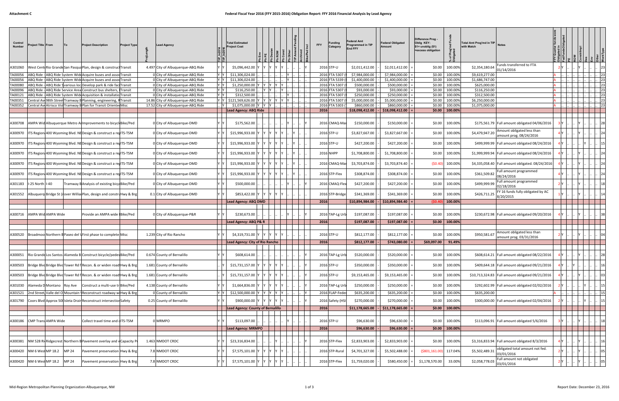| Control<br>Number  | <b>Project Title From</b>                               | To           | <b>Project Description</b>                                                  | <b>Project Type</b> | <b>Lead Agency</b>                                               |            | <b>Total Estimated</b><br>roject Cost |         |  | <b>Funding</b><br>FFY<br>Category | ederal Amt<br>rogrammed in TIP<br>End FFY | Federal Obligated<br>Amount     | <b>Difference Prog</b><br>Oblig KEY:<br>$$1=$ unoblig $$1)$<br>=excess obligation | ಕೆ ಕಿ<br>৳         | <b>Total Amt Prog'md in TIP</b><br>with Match |                                                                          |  |           |  |
|--------------------|---------------------------------------------------------|--------------|-----------------------------------------------------------------------------|---------------------|------------------------------------------------------------------|------------|---------------------------------------|---------|--|-----------------------------------|-------------------------------------------|---------------------------------|-----------------------------------------------------------------------------------|--------------------|-----------------------------------------------|--------------------------------------------------------------------------|--|-----------|--|
| A301060            |                                                         |              | West CentrRio Grande San Pasqua Plan, design & construct Transit            |                     | 4.497 City of Albuquerque-ABQ Ride                               | / Y        | \$5,096,442.00                        |         |  | 2016 STP-U                        | \$2,011,412.00                            | \$2,011,412.00                  | \$0.00                                                                            | 100.00%            | \$2,354,180.64                                | unds transferred to FTA<br>01/14/2016                                    |  |           |  |
| TA00056            |                                                         |              | ABQ Ride - ABQ Ride System Wide Acquire buses and asso                      | oc Transit          | 0 City of Albuquerque-ABQ Ride                                   | Y Y        | \$11,306,024.00                       |         |  | 2016 FTA 5307                     | \$7,984,000.00                            | \$7,984,000.00                  | \$0.00                                                                            | 100.00%            | \$9,619,277.00                                |                                                                          |  |           |  |
| TA00056            |                                                         |              | ABQ Ride - ABQ Ride System WideAcquire buses and asso                       | Transit             | 0 City of Albuquerque-ABQ Ride                                   | Y Y        | \$11,306,024.00                       |         |  | 2016 FTA 5339                     | \$1,400,000.00                            | \$1,400,000.00                  | \$0.00                                                                            | 100.00%            | \$1,686,747.00                                |                                                                          |  |           |  |
| TA00080            | ABQ Ride - ABQ Ride Svarious loc Develop park & ride fa |              |                                                                             | <b>Transit</b>      | 0 City of Albuquerque-ABQ Ride                                   | Y Y<br>Y Y | \$1,250,000.00                        |         |  | 2016 FTA 5307                     | \$500,000.00                              | \$500,000.00                    | \$0.00                                                                            | 100.00%            | \$625,000.00                                  |                                                                          |  |           |  |
| TA00096<br>TA00121 | ABQ Ride - ABQ Ride Service Area Construct bus shelters |              | ABQ Ride - ABQ Ride System Wide Acquisition & installati                    | Transit<br>Transit  | 0 City of Albuquerque-ABQ Ride<br>0 City of Albuquerque-ABQ Ride | Y Y        | \$116,250.00<br>\$312,500.00          |         |  | 2016 FTA 5307<br>2016 FTA 5307    | \$93,000.00<br>\$250,000.00               | \$93,000.00<br>\$250,000.00     | \$0.00<br>\$0.00                                                                  | 100.00%<br>100.00% | \$116,250.00<br>\$312,500.00                  |                                                                          |  |           |  |
| TA00351            | Central Ave98th Street Tramway B Planning, engineering  |              |                                                                             | Transit             | 14.86 City of Albuquerque-ABQ Ride                               | Y Y        | \$121,569,626.00                      |         |  | 2016 FTA 5307                     | \$5,000,000.00                            | \$5,000,000.00                  | \$0.00                                                                            | 100.00%            | \$6,250,000.00                                |                                                                          |  |           |  |
| TA00352            |                                                         |              | Central AveAtrisco VistTramway BPlan for Transit Orienter Misc              |                     | 17.52 City of Albuquerque-ABQ Ride                               | <u>IY</u>  | \$1,075,000.00                        |         |  | 2016 FTA 5303                     | \$860,000.00                              | \$860,000.00                    | \$0.00                                                                            | 100.00%            | \$1,075,000.00                                |                                                                          |  |           |  |
|                    |                                                         |              |                                                                             |                     |                                                                  |            | Lead Agency: ABQ Ride                 |         |  | 2016                              | \$18,098,412.00                           | \$18,098,412.00                 | \$0.00                                                                            | 100.00%            |                                               |                                                                          |  |           |  |
| 4300708            |                                                         |              | AMPA Wid Albuquerque Metro Arlmprovements to bicycl Bike/Ped                |                     | O City of Albuquerque-DMD                                        |            | \$175,562.00                          |         |  | 2016 CMAQ-Ma                      | \$150,000.00                              | \$150,000.00                    | \$0.00                                                                            | 100.00%            |                                               | \$175,561.79 Full amount obligated 04/06/2016                            |  |           |  |
| 4300970            |                                                         |              | ITS Region: 400 Wyoming Blvd. NEDesign & construct a re: ITS-TSM            |                     | O City of Albuquerque-DMD                                        |            | \$15,996,933.00                       |         |  | 2016 STP-U                        | \$3,827,667.00                            | \$3,827,667.00                  | \$0.00                                                                            | 100.00%            | \$4,479,947.20                                | Amount obligated less than                                               |  |           |  |
| 4300970            |                                                         |              | ITS Region 400 Wyoming Blvd. NEDesign & construct a realTS-TSM              |                     | City of Albuquerque-DMD                                          |            | \$15,996,933.00                       |         |  | 2016 STP-U                        | \$427,200.00                              | \$427,200.00                    | \$0.00                                                                            | 100.00%            |                                               | amount prog. 08/24/2016<br>\$499,999.99 Full amount obligated 08/24/2016 |  |           |  |
| 4300970            |                                                         |              | ITS Region: 400 Wyoming Blvd. NEDesign & construct a resITS-TSM             |                     | O City of Albuquerque-DMD                                        |            | \$15,996,933.00                       |         |  | <b>2016 NHPP</b>                  | \$1,708,800.00                            | \$1,708,800.00                  | \$0.00                                                                            | 100.00%            |                                               | \$1,999,999.94 Full amount obligated 08/24/2016                          |  |           |  |
| 4300970            |                                                         |              | ITS Region: 400 Wyoming Blvd. NEDesign & construct a resITS-TSM             |                     | O City of Albuquerque-DMD                                        |            | \$15,996,933.00                       |         |  | 2016 CMAQ-Ma                      | \$3,703,874.00                            | \$3,703,874.40                  | (50.40)                                                                           | 100.00%            |                                               | \$4,335,058.40 Full amount obligated. 08/24/2016                         |  |           |  |
|                    |                                                         |              |                                                                             |                     |                                                                  |            | \$15,996,933.00                       |         |  | 2016 STP-Flex                     | \$308,874.00                              | \$308,874.00                    |                                                                                   | 100.00%            |                                               | Full amount programmed                                                   |  |           |  |
| A300970            |                                                         |              | ITS Region 400 Wyoming Blvd. NEDesign & construct a realTS-TSM              |                     | 0 City of Albuquerque-DMD                                        |            |                                       |         |  |                                   |                                           |                                 | \$0.00                                                                            | 100.00%            | \$361,509.82                                  | 08/24/2016<br>Full amount programmed                                     |  |           |  |
| 4301183            | l-25 North   I-40                                       |              | Tramway BAnalysis of existing bicy Bike/Ped                                 |                     | O City of Albuquerque-DMD                                        |            | \$500,000.00                          |         |  | 2016 CMAQ-Fle                     | \$427,200.00                              | \$427,200.00                    | \$0.00                                                                            |                    | \$499,999.99                                  | 02/18/2016<br>FY 16 funds fully obligated by AC                          |  |           |  |
| 4301552            |                                                         |              | Albuquerq Bridge St (Aover Willia Plan, design and construt wy & Brg        |                     | 0.1 City of Albuquerque-DMD                                      |            | \$853,422.00<br>Lead Agency: ABQ DMD  |         |  | 2016 STP-Bridge<br>2016           | \$341,369.00<br>\$10,894,984.00           | \$341,369.00<br>\$10,894,984.40 | \$0.00<br>(50.4)                                                                  | 100.00%<br>100.00% | \$426,711.25                                  | 8/20/2015                                                                |  |           |  |
|                    |                                                         |              |                                                                             |                     |                                                                  |            |                                       |         |  |                                   |                                           |                                 |                                                                                   |                    |                                               |                                                                          |  |           |  |
| A300716            | AMPA Wid AMPA Wide                                      |              | Provide an AMPA wide IBike/Ped                                              |                     | 0 City of Albuquerque-P&R                                        |            | \$230,673.00                          |         |  | 2016 TAP-Lg Url                   | \$197,087.00                              | \$197,087.00                    | \$0.00                                                                            | 100.00%            |                                               | \$230,672.98 Full amount obligated 09/20/2016                            |  |           |  |
|                    |                                                         |              |                                                                             |                     |                                                                  |            | Lead Agency: ABQ P& R                 |         |  | 2016                              | \$197,087.00                              | \$197,087.00                    | \$0.00                                                                            | 100.00%            |                                               |                                                                          |  |           |  |
| A300520            |                                                         |              | Broadmool Northern B Paseo del VFirst phase to complete Misc                |                     | 1.239 City of Rio Rancho                                         |            | \$4,319,731.00                        |         |  | 2016 STP-U                        | \$812,177.00                              | \$812,177.00                    | \$0.00                                                                            | 100.00%            | \$950,581.67                                  | Amount obligated less than<br>amount prog. 03/31/2016                    |  |           |  |
|                    |                                                         |              |                                                                             |                     |                                                                  |            | Lead Agency: City of Rio Rancho       |         |  | 2016                              | \$812,177.00                              | \$743,080.00                    | \$69,097.00                                                                       | 91.49%             |                                               |                                                                          |  |           |  |
|                    |                                                         |              |                                                                             |                     |                                                                  |            |                                       |         |  |                                   |                                           |                                 |                                                                                   |                    |                                               |                                                                          |  |           |  |
|                    |                                                         |              | 4300051  Rio Grande Los Santos  Alameda B Construct bicycle/pedes Bike/Ped_ |                     | 0.674 County of Bernalillo                                       |            | 5608,614.00                           |         |  | 2016 TAP-Lg Urb                   | \$520,000.00                              | \$520,000.00                    |                                                                                   | \$0.00 100.00%     |                                               | \$608,614.21   Full amount obligated 08/22/2016                          |  |           |  |
| A300503            |                                                         |              | Bridge BlvdBridge BlvdTower Rd f Recon. & or widen road Hwy & Brg           |                     | 1.681 County of Bernalillo                                       |            | \$15,731,157.00                       |         |  | 2016 STP-U                        | \$350,000.00                              | \$350,000.00                    | \$0.00                                                                            | 100.00%            |                                               | \$409,644.18 Full amount obligated 09/21/2016                            |  | <b>16</b> |  |
|                    |                                                         |              | A300503 Bridge BlvdBridge BlvdTower Rd f Recon. & or widen road Hwy & Brg   |                     | 1.681 County of Bernalillo                                       |            | \$15,731,157.00                       |         |  | 2016 STP-U                        | \$9,153,465.00                            | \$9,153,465.00                  | \$0.00                                                                            | 100.00%            |                                               | \$10,713,324.83 Full amount obligated 09/21/2016                         |  | 03        |  |
| 4301030            | Alameda D Montano Roy Ave                               |              | Construct a multi-use tr Bike/Ped                                           |                     | 4.138 County of Bernalillo                                       |            | \$1,664,836.00                        |         |  | 2016 TAP-Lg Url                   | \$250,000.00                              | \$250,000.00                    | \$0.00                                                                            | 100.00%            |                                               | \$292,602.99 Full amount obligated 02/02/2016                            |  |           |  |
|                    |                                                         |              | A301521 2nd Street, Valle del O Mountain Reconstruct roadway w Hwy & Brg    |                     | 0 County of Bernalillo                                           | Y Y        | \$12,500,000.00                       | Y Y Y Y |  | 2016 FLAP-Fede                    | \$635,200.00                              | \$635,200.00                    |                                                                                   | \$0.00 100.00%     | \$635,200.00                                  |                                                                          |  |           |  |
| A301790            |                                                         |              | Coors Blvd Approx 500 Isleta Drain Reconstruct intersection Safety          |                     | 0.25 County of Bernalillo                                        | ΥY         | \$900,000.00                          |         |  | 2016 Safety (HSI                  | \$270,000.00                              | \$270,000.00                    | \$0.00                                                                            | 100.00%            |                                               | \$300,000.00 Full amount obligated 02/04/2016                            |  |           |  |
|                    |                                                         |              |                                                                             |                     |                                                                  |            | Lead Agency: County of Bernalillo     |         |  | 2016                              | \$11,178,665.00                           | \$11,178,665.00                 |                                                                                   | $$0.00$ 100.00%    |                                               |                                                                          |  |           |  |
| A300186            | <b>CMP Trans AMPA Wide</b>                              |              | Collect travel time and dITS-TSM                                            |                     | 0 MRMPO                                                          |            | \$113,097.00                          |         |  | 2016 STP-U                        | \$96,630.00                               | \$96,630.00                     | \$0.00                                                                            | 100.00%            |                                               | \$113,096.91 Full amount obligated 5/6/2016                              |  |           |  |
|                    |                                                         |              |                                                                             |                     |                                                                  |            | Lead Agency: MRMPO                    |         |  | 2016                              | \$96,630.00                               | \$96,630.00                     |                                                                                   | $$0.00$ 100.00%    |                                               |                                                                          |  |           |  |
|                    |                                                         |              |                                                                             |                     |                                                                  |            |                                       |         |  |                                   |                                           |                                 |                                                                                   |                    |                                               |                                                                          |  |           |  |
| A300381            |                                                         |              | NM 528 RidRidgecrest Northern B Pavement overlay and v Capacity P           |                     | 1.463 NMDOT CRDC                                                 |            | \$23,316,834.00                       |         |  | 2016 STP-Flex                     | \$2,833,903.00                            | \$2,833,903.00                  | \$0.00                                                                            | 100.00%            |                                               | \$3,316,833.94 Full amount obligated 8/3/2016                            |  |           |  |
| A300420            | NM 6 West MP 18.2                                       | <b>MP 24</b> | Pavement preservation Hwy & Brg                                             |                     | 7.8 NMDOT CRDC                                                   |            | \$7,575,101.00                        |         |  | 2016 STP-Rural                    | \$4,701,327.00                            | \$5,502,488.00                  | (\$801,161.00)                                                                    | 117.04%            | \$5,502,489.31                                | obligated total amount not fed.<br>03/01/2016                            |  | 05        |  |
| A300420            | NM 6 West MP 18.2                                       | <b>MP 24</b> | Pavement preservation Hwy & Brg                                             |                     | 7.8 NMDOT CRDC                                                   |            | \$7,575,101.00                        |         |  | 2016 STP-Flex                     | \$1,759,020.00                            | \$580,450.00                    | \$1,178,570.00                                                                    | 33.00%             | \$2,058,778.03                                | Full amount not obligated<br>03/01/2016                                  |  |           |  |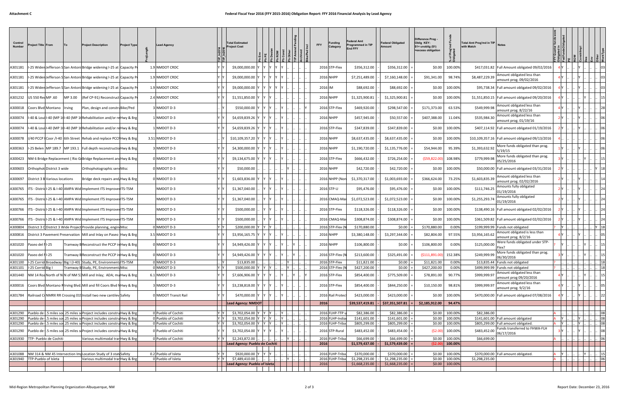| Control<br>Number | 'roject Title From               | ۱To | <b>Project Description</b>                                                      | Project Type | <b>Lead Agency</b>   |              | <b>Total Estimated</b><br>roject Cost |     |       |  | <b>Funding</b><br><b>FFY</b><br>Category | ederal Amt<br>rogrammed in TIP<br>End FFY | <b>Federal Obligated</b><br>Amount | <b>Difference Prog</b><br>Oblig KEY:<br>$$1=$ unoblig $$1)$<br>=excess obligation | ৢ৳              | <b>Total Amt Prog'md in TIP</b><br>with Match |                                                                |     |             |            |
|-------------------|----------------------------------|-----|---------------------------------------------------------------------------------|--------------|----------------------|--------------|---------------------------------------|-----|-------|--|------------------------------------------|-------------------------------------------|------------------------------------|-----------------------------------------------------------------------------------|-----------------|-----------------------------------------------|----------------------------------------------------------------|-----|-------------|------------|
| A301181           |                                  |     | I-25 Widen Jefferson S San Antoni Bridge widening I-25 at Capacity P            |              | 1.9 NMDOT CRDC       |              | \$9,000,000.00                        |     |       |  | 2016 STP-Flex                            | \$356,312.00                              | \$356,312.00                       | \$0.00                                                                            | 100.00%         |                                               | \$417,031.82 Full Amount obligated 09/02/2016                  |     |             |            |
| A301181           |                                  |     | II-25 Widen Jefferson SSan Antoni Bridge widening I-25 at Capacity P            |              | 1.9 NMDOT CRDC       |              | \$9,000,000.00                        |     |       |  | <b>2016 NHPP</b>                         | \$7,251,489.00                            | \$7,160,148.00                     | \$91,341.00                                                                       | 98.74%          | \$8,487,229.39                                | Amount obligated less than<br>amount prog. 09/02/2016          |     |             |            |
| 4301181           |                                  |     | I-25 Widen Jefferson S San Antoni Bridge widening I-25 at Capacity P            |              | 1.9 NMDOT CRDC       |              | \$9,000,000.00                        |     |       |  | 2016 IM                                  | \$88,692.00                               | \$88,692.00                        | \$0.00                                                                            | 100.00%         |                                               | \$95,738.34 Full amount obligated 09/02/2016                   |     |             |            |
| A301232           | US 550 RedMP .60                 |     | MP 3.00 (Ref CP-91) Reconstruct Capacity P                                      |              | 2.4 NMDOT CRDC       |              | \$1,551,850.00                        |     |       |  | <b>2016 NHPP</b>                         | \$1,325,900.81                            | \$1,325,900.81                     | \$0.00                                                                            | 100.00%         |                                               | \$1,551,850.15   Full amount obligated 09/20/2016              |     |             |            |
| 4300018           | Coors Blvd Montano Irving        |     | Plan, design and construBike/Ped                                                |              | NMDOT D-3            |              | \$550,000.00                          |     |       |  | 2016 STP-Flex                            | \$469,920.00                              | \$298,547.00                       | \$171,373.00                                                                      | 63.53%          | \$549,999.98                                  | Amount obligated less than<br>amount prog. 8/22/16             |     |             |            |
| 4300074           |                                  |     | I-40 & Loui I-40 (MP 11I-40 (MP 11 Rehabilitation and/or re Hwy & Brg           |              | NMDOT D-3            |              | \$4,659,839.26                        |     |       |  | 2016 NHPP                                | \$457,945.00                              | \$50,557.00                        | \$407,388.00                                                                      | 11.04%          | \$535,984.30                                  | Amount obligated less than<br>amount prog. 01/19/16            |     |             |            |
| A300074           |                                  |     | I-40 & LouilI-40 (MP 11I-40 (MP 11 Rehabilitation and/or re Hwy & Brg           |              | NMDOT D-3            |              | \$4,659,839.26                        |     |       |  | 2016 STP-Flex                            | \$347,839.00                              | \$347,839.00                       | \$0.00                                                                            | 100.00%         |                                               | \$407,114.92 Full amount obligated 01/19/2016                  |     |             |            |
| 4300078           |                                  |     | I/40 PCCP I Coor /I-40 6th Street Rehab and replace PCCI Hwy & Brg              |              | 3.51 NMDOT D-3       |              | \$10,109,357.20                       |     |       |  | 2016 NHPP                                | \$8,637,435.00                            | \$8,637,435.00                     | \$0.00                                                                            | 100.00%         |                                               | \$10,109,357.16   Full amount obligated 09/13/2016             |     |             |            |
| 4300363           |                                  |     | I-25 Belen (MP 189.7  MP 193.1  Full depth reconstructio Hwy & Brg              |              | NMDOT D-3            |              | \$4,300,000.00                        |     |       |  | 2016 NHPP                                | \$1,190,720.00                            | \$1,135,776.00                     | \$54,944.00                                                                       | 95.39%          | \$1,393,632.92                                | More funds obligated than prog.<br>5/19/15                     |     |             |            |
| 4300423           |                                  |     | NM 6 Bridge Replacement (Rio GiBridge Replacement and Hwy & Brg                 |              | NMDOT D-3            |              | \$9,134,675.00                        |     |       |  | 2016 STP-Flex                            | \$666,432.00                              | \$726,254.00                       | (559, 822.00)                                                                     | 108.98%         | \$779,999.98                                  | More funds obligated than prog.<br>05/25/2016                  |     |             |            |
| A300603           | Orthophot District 3 wide        |     | Orthophotographic serv Misc                                                     |              | NMDOT D-3            |              | \$50,000.00                           |     |       |  | 2016 NHPP                                | \$42,720.00                               | \$42,720.00                        | \$0.00                                                                            | 100.00%         |                                               | \$50,000.00   Full amount obligated 03/31/2016                 |     |             |            |
| 4300697           | District 3 B Various locations   |     | Bridge deck repairs and Hwy & Brg                                               |              | NMDOT D-3            |              | \$1,603,836.00                        |     |       |  | 2016 NHPP (No                            | \$1,370,317.00                            | \$1,003,693.00                     | \$366,624.00                                                                      | 73.25%          | \$1,603,835.39                                | Amount obligated less than<br>amount prog. 02/02/2016          |     |             |            |
| A300765           |                                  |     | ITS - District-25 & I-40 AMPA Wid Implement ITS Improver ITS-TSM                |              | NMDOT D-3            |              | \$1,367,040.00                        |     |       |  | 2016 STP-U                               | \$95,476.00                               | \$95,476.00                        | \$0.00                                                                            | 100.00%         | \$111,746.25                                  | Amounts fully obligated<br>01/19/2016                          |     |             |            |
| A300765           |                                  |     | ITS - District-25 & I-40 AMPA Wid Implement ITS Improver ITS-TSM                |              | NMDOT D-3            |              | \$1,367,040.00                        |     |       |  | 2016 CMAQ-Ma                             | \$1,072,523.00                            | \$1,072,523.00                     | \$0.00                                                                            | 100.00%         | \$1,255,293.7                                 | Amounts fully obligated<br>01/19/2016                          |     |             |            |
| A300766           |                                  |     | ITS - DistricI-25 & I-40 AMPA Wid Implement ITS Improve ITS-TSM                 |              | NMDOT D-3            |              | \$500,000.00                          |     |       |  | 2016 STP-Flex                            | \$118,326.00                              | \$118,326.00                       | \$0.00                                                                            | 100.00%         |                                               | \$138,490.16 Full amount obligated 02/02/2016                  |     |             |            |
| A300766           |                                  |     | ITS - DistridI-25 & I-40 AMPA Wid Implement ITS ImproverITS-TSM                 |              | NMDOT D-3            |              | \$500,000.00                          |     |       |  | 2016 CMAQ-Ma                             | \$308,874.00                              | \$308,874.00                       | \$0.00                                                                            | 100.00%         |                                               | \$361,509.82 Full amount obligated 02/02/2016                  |     |             |            |
| A300804           |                                  |     | District 3 O District 3 Wide Project Provide planning, engin Misc               |              | 0 NMDOT D-3          | Y Y          | \$200,000.00                          |     |       |  | 2016 STP-Flex (                          | \$170,880.00                              | \$0.00                             | \$170,880.00                                                                      | 0.00%           |                                               | \$199,999.99 Funds not obligated                               | IY. |             |            |
| 4300816           |                                  |     | District 3 Pavement Preservation Mill and Inlay on Paseo Hwy & Brg              |              | 3.5 NMDOT D-3        |              | \$3,956,165.75                        |     |       |  | 2016 NHPP                                | \$3,380,148.00                            | \$3,297,344.00                     | \$82,804.00                                                                       | 97.55%          | \$3,956,165.62                                | Amount obligated is less than<br>amount prog. 8/2/16           |     |             |            |
| A301020           | Paseo del NI-25                  |     | Framway BReconstruct the PCCP in Hwy & Brg                                      |              | NMDOT D-3            |              | \$4,949,426.00                        |     |       |  | 2016 NHPP                                | \$106,800.00                              | \$0.00                             | \$106,800.00                                                                      | $0.00\%$        | \$125,000.00                                  | Were funds obligated under STP-<br>lex?                        |     |             |            |
|                   | A301020 Paseo del NI-25          |     | Tramway B Reconstruct the PCCP in Hwy & Brg                                     |              | 0 NMDOT D-3          |              | \$4,949,426.00                        |     |       |  | 2016 STP-Flex (I                         | \$213,600.00                              | \$325,491.00                       | $(5111,891.00)$ 152.38%                                                           |                 | $$249,999.99$ $^{1111}$ 06/30/2016            | More funds obligated than prog.                                |     |             |            |
|                   |                                  |     | A301100  I-25 Corrid Broadway Big I (I-40) Study, PE, Environment ITS-TSM       |              | 0 NMDOT D-3          | $\mathsf{Y}$ | \$13,835.00                           |     |       |  | 2016 STP-Flex                            | \$11,821.00                               | \$0.00                             | \$11,821.00                                                                       | 0.00%           |                                               | \$13,835.44 Funds not obligated                                |     |             | . 18       |
|                   | A301101  -25 Corrid Big I        |     | Tramway B Study, PE, Environment: Misc                                          |              | 0 NMDOT D-3          | YY           | \$500,000.00                          |     |       |  | 2016 STP-Flex (                          | \$427,200.00                              | \$0.00                             | \$427,200.00                                                                      | 0.00%           |                                               | \$499,999.99 Funds not obligated<br>Amount obligated less than |     |             | 18         |
|                   |                                  |     | A301440   NM 14 Roa North of NM of NM 53 Mill and Inlay; ADA; muHwy & Brg       |              | 6.1 NMDOT D-3        |              | \$7,606,906.00                        |     |       |  | 2016 STP-Flex                            | \$854,400.00                              | \$775,509.00                       | \$78,891.00                                                                       | 90.77%          | \$999,999.97                                  | amount prog 09/20/2016<br>Amount obligated less than           |     |             |            |
| A300016           |                                  |     | Coors Blvd Montano Rirving Blvd Mill and fill Coors Blvd f Hwy & Brg            |              | NMDOT D-3            |              | \$3,238,818.00                        |     |       |  | 2016 STP-Flex                            | \$854,400.00                              | \$844,250.00                       | \$10,150.00                                                                       | 98.81%          | \$999,999.97                                  | amount prog. 9/2/16                                            |     |             |            |
|                   |                                  |     | A301784 Railroad CrNMRX RR Crossing 019 Install two new cantilev Safety         |              | 0 NMDOT Transit Rail |              | \$470,000.00                          |     |       |  | 2016 Rail Protec                         | \$423,000.00                              | \$423,000.00                       | \$0.00                                                                            | 100.00%         |                                               | \$470,000.00 Full amount obligated 07/08/2016                  |     |             |            |
|                   |                                  |     |                                                                                 |              |                      |              | Lead Agency: NMDOT                    |     |       |  | 2016                                     | \$39,537,419.81                           | \$37,351,507.81                    | \$2,185,912.00                                                                    | 94.47%          |                                               |                                                                |     |             |            |
|                   |                                  |     | A301290 Pueblo de 1.5 miles sol.25 miles seProject includes constru Hwy & Brg   |              | 0 Pueblo of Cochiti  | YY           | \$3,702,054.00                        | Y Y |       |  | 2016 FLHP-TTP                            | \$82,386.00                               | \$82,386.00                        |                                                                                   | \$0.00 100.00%  | \$82,386.00                                   |                                                                |     |             | 08         |
|                   |                                  |     | A301290 Pueblo de (.5 miles sol.25 miles soProject includes constructivy & Brg  |              | 0 Pueblo of Cochiti  |              | \$3,702,054.00                        | Y Y |       |  | 2016 FLHP-India                          | \$141,601.00                              | \$141,601.00                       | \$0.00                                                                            | 100.00%         |                                               | \$141,601.00 Full amount obligated                             | A Y |             | . 08       |
|                   |                                  |     | A301290 Pueblo de 1.5 miles sol.25 miles seProject includes constru Hwy & Brg   |              | 0 Pueblo of Cochiti  | YY           | \$3,702,054.00                        | Y Y |       |  | 2016 FLHP-Triba                          | \$805,299.00                              | \$805,299.00                       | \$0.00                                                                            | 100.00%         |                                               | \$805,299.00 Full amount obligated.                            | A Y |             | . 08       |
|                   |                                  |     | A301290 Pueblo de (.5 miles sol.25 miles so Project includes constructivy & Brg |              | 0 Pueblo of Cochiti  |              | \$3,702,054.00                        |     |       |  | 2016 STP-Rural                           | \$483,452.00                              | \$483,454.00                       | (52.00)                                                                           | 100.00%         | \$483,452.00                                  | Funds transferred to FHWA-FLH<br>06/17/2016                    |     |             |            |
|                   | A301930   TTP- Pueblo de Cochiti |     | Various multimodal tran Hwy & Brg                                               |              | 0 Pueblo of Cochiti  | YY           | \$2,243,872.00                        |     |       |  | 2016 FLHP-Triba                          | \$66,699.00                               | \$66,699.00                        | \$0.00                                                                            | 100.00%         | \$66,699.00                                   |                                                                |     |             | $\cdot$ 06 |
|                   |                                  |     |                                                                                 |              |                      |              | Lead Agency: Pueblo de Cochiti        |     |       |  | 2016                                     | \$1,579,437.00                            | \$1,579,439.00                     | (52.00                                                                            | 100.00%         |                                               |                                                                |     |             |            |
|                   |                                  |     |                                                                                 |              |                      |              |                                       |     |       |  |                                          |                                           |                                    |                                                                                   |                 |                                               |                                                                |     |             |            |
|                   |                                  |     | A301088 NM 314 & NM 45 Intersection Implocation Study of 3 stat Safety          |              | 0.2 Pueblo of Isleta | YY           | \$920,000.00                          | Y Y |       |  | 2016 FLHP-Trib                           | \$370,000.00                              | \$370,000.00                       | \$0.00                                                                            | 100.00%         |                                               | \$370,000.00 Full amount obligated.                            |     |             | $\ln 15$   |
|                   | A301940 TTP-Pueblo of Isleta     |     | Various multimodal tranHwy & Brg                                                |              | 0 Pueblo of Isleta   |              | \$7,489,410.00                        |     | . I . |  | 2016 FLHP-Triba                          | \$1,298,235.00                            | \$1,298,235.00                     |                                                                                   | \$0.00 100.00%  | \$1,298,235.00                                |                                                                |     | $\   \ $ 06 |            |
|                   |                                  |     |                                                                                 |              |                      |              | Lead Agency: Pueblo of Isleta         |     |       |  | 2016                                     | \$1,668,235.00                            | \$1,668,235.00                     |                                                                                   | $$0.00$ 100.00% |                                               |                                                                |     |             |            |
|                   |                                  |     |                                                                                 |              |                      |              |                                       |     |       |  |                                          |                                           |                                    |                                                                                   |                 |                                               |                                                                |     |             |            |